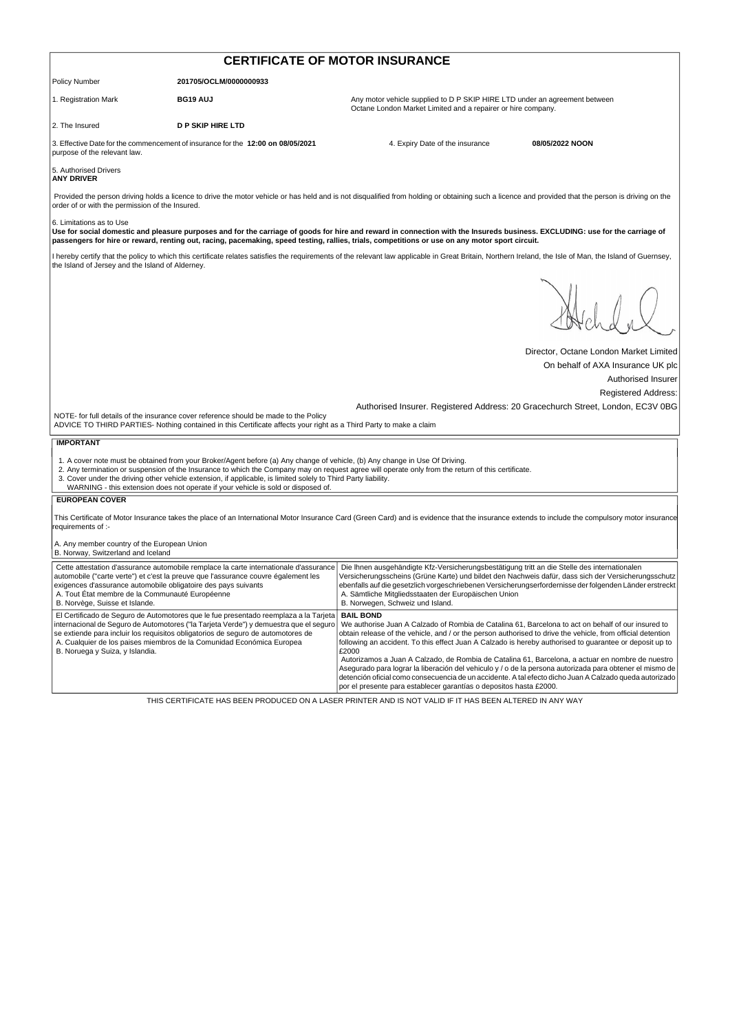| <b>CERTIFICATE OF MOTOR INSURANCE</b>                                                                                                               |                                                                                                                                                                                                                                                                                                                                            |                                                                                                                                                                                                                                                                                                                                                                                                                                                               |                                        |  |
|-----------------------------------------------------------------------------------------------------------------------------------------------------|--------------------------------------------------------------------------------------------------------------------------------------------------------------------------------------------------------------------------------------------------------------------------------------------------------------------------------------------|---------------------------------------------------------------------------------------------------------------------------------------------------------------------------------------------------------------------------------------------------------------------------------------------------------------------------------------------------------------------------------------------------------------------------------------------------------------|----------------------------------------|--|
| <b>Policy Number</b>                                                                                                                                | 201705/OCLM/0000000933                                                                                                                                                                                                                                                                                                                     |                                                                                                                                                                                                                                                                                                                                                                                                                                                               |                                        |  |
| 1. Registration Mark                                                                                                                                | <b>BG19 AUJ</b>                                                                                                                                                                                                                                                                                                                            | Any motor vehicle supplied to D P SKIP HIRE LTD under an agreement between<br>Octane London Market Limited and a repairer or hire company.                                                                                                                                                                                                                                                                                                                    |                                        |  |
| 2. The Insured                                                                                                                                      | <b>D P SKIP HIRE LTD</b>                                                                                                                                                                                                                                                                                                                   |                                                                                                                                                                                                                                                                                                                                                                                                                                                               |                                        |  |
| purpose of the relevant law.                                                                                                                        | 3. Effective Date for the commencement of insurance for the 12:00 on 08/05/2021                                                                                                                                                                                                                                                            | 4. Expiry Date of the insurance                                                                                                                                                                                                                                                                                                                                                                                                                               | 08/05/2022 NOON                        |  |
| 5. Authorised Drivers<br><b>ANY DRIVER</b>                                                                                                          |                                                                                                                                                                                                                                                                                                                                            |                                                                                                                                                                                                                                                                                                                                                                                                                                                               |                                        |  |
| order of or with the permission of the Insured.                                                                                                     |                                                                                                                                                                                                                                                                                                                                            | Provided the person driving holds a licence to drive the motor vehicle or has held and is not disqualified from holding or obtaining such a licence and provided that the person is driving on the                                                                                                                                                                                                                                                            |                                        |  |
| 6. Limitations as to Use                                                                                                                            |                                                                                                                                                                                                                                                                                                                                            | Use for social domestic and pleasure purposes and for the carriage of goods for hire and reward in connection with the Insureds business. EXCLUDING: use for the carriage of<br>passengers for hire or reward, renting out, racing, pacemaking, speed testing, rallies, trials, competitions or use on any motor sport circuit.                                                                                                                               |                                        |  |
| the Island of Jersey and the Island of Alderney.                                                                                                    |                                                                                                                                                                                                                                                                                                                                            | I hereby certify that the policy to which this certificate relates satisfies the requirements of the relevant law applicable in Great Britain, Northern Ireland, the Isle of Man, the Island of Guernsey,                                                                                                                                                                                                                                                     |                                        |  |
|                                                                                                                                                     |                                                                                                                                                                                                                                                                                                                                            |                                                                                                                                                                                                                                                                                                                                                                                                                                                               |                                        |  |
|                                                                                                                                                     |                                                                                                                                                                                                                                                                                                                                            |                                                                                                                                                                                                                                                                                                                                                                                                                                                               | Director, Octane London Market Limited |  |
|                                                                                                                                                     |                                                                                                                                                                                                                                                                                                                                            |                                                                                                                                                                                                                                                                                                                                                                                                                                                               | On behalf of AXA Insurance UK plc      |  |
|                                                                                                                                                     |                                                                                                                                                                                                                                                                                                                                            |                                                                                                                                                                                                                                                                                                                                                                                                                                                               | Authorised Insurer                     |  |
|                                                                                                                                                     |                                                                                                                                                                                                                                                                                                                                            |                                                                                                                                                                                                                                                                                                                                                                                                                                                               | <b>Registered Address:</b>             |  |
|                                                                                                                                                     | NOTE- for full details of the insurance cover reference should be made to the Policy<br>ADVICE TO THIRD PARTIES- Nothing contained in this Certificate affects your right as a Third Party to make a claim                                                                                                                                 | Authorised Insurer. Registered Address: 20 Gracechurch Street, London, EC3V 0BG                                                                                                                                                                                                                                                                                                                                                                               |                                        |  |
| <b>IMPORTANT</b>                                                                                                                                    |                                                                                                                                                                                                                                                                                                                                            |                                                                                                                                                                                                                                                                                                                                                                                                                                                               |                                        |  |
|                                                                                                                                                     | 1. A cover note must be obtained from your Broker/Agent before (a) Any change of vehicle, (b) Any change in Use Of Driving.<br>3. Cover under the driving other vehicle extension, if applicable, is limited solely to Third Party liability.<br>WARNING - this extension does not operate if your vehicle is sold or disposed of.         | 2. Any termination or suspension of the Insurance to which the Company may on request agree will operate only from the return of this certificate.                                                                                                                                                                                                                                                                                                            |                                        |  |
| <b>EUROPEAN COVER</b>                                                                                                                               |                                                                                                                                                                                                                                                                                                                                            |                                                                                                                                                                                                                                                                                                                                                                                                                                                               |                                        |  |
| requirements of :-                                                                                                                                  |                                                                                                                                                                                                                                                                                                                                            | This Certificate of Motor Insurance takes the place of an International Motor Insurance Card (Green Card) and is evidence that the insurance extends to include the compulsory motor insurance                                                                                                                                                                                                                                                                |                                        |  |
| A. Any member country of the European Union<br>B. Norway, Switzerland and Iceland                                                                   |                                                                                                                                                                                                                                                                                                                                            |                                                                                                                                                                                                                                                                                                                                                                                                                                                               |                                        |  |
| exigences d'assurance automobile obligatoire des pays suivants<br>A. Tout État membre de la Communauté Européenne<br>B. Norvège, Suisse et Islande. | Cette attestation d'assurance automobile remplace la carte internationale d'assurance<br>automobile ("carte verte") et c'est la preuve que l'assurance couvre également les                                                                                                                                                                | Die Ihnen ausgehändigte Kfz-Versicherungsbestätigung tritt an die Stelle des internationalen<br>Versicherungsscheins (Grüne Karte) und bildet den Nachweis dafür, dass sich der Versicherungsschutz<br>ebenfalls auf die gesetzlich vorgeschriebenen Versicherungserfordernisse der folgenden Länder erstreckt<br>A. Sämtliche Mitgliedsstaaten der Europäischen Union<br>B. Norwegen, Schweiz und Island.                                                    |                                        |  |
| B. Noruega y Suiza, y Islandia.                                                                                                                     | El Certificado de Seguro de Automotores que le fue presentado reemplaza a la Tarjeta<br>internacional de Seguro de Automotores ("la Tarjeta Verde") y demuestra que el seguro<br>se extiende para incluir los requisitos obligatorios de seguro de automotores de<br>A. Cualquier de los paises miembros de la Comunidad Económica Europea | <b>BAIL BOND</b><br>We authorise Juan A Calzado of Rombia de Catalina 61, Barcelona to act on behalf of our insured to<br>obtain release of the vehicle, and / or the person authorised to drive the vehicle, from official detention<br>following an accident. To this effect Juan A Calzado is hereby authorised to guarantee or deposit up to<br>£2000<br>Autorizamos a Juan A Calzado, de Rombia de Catalina 61, Barcelona, a actuar en nombre de nuestro |                                        |  |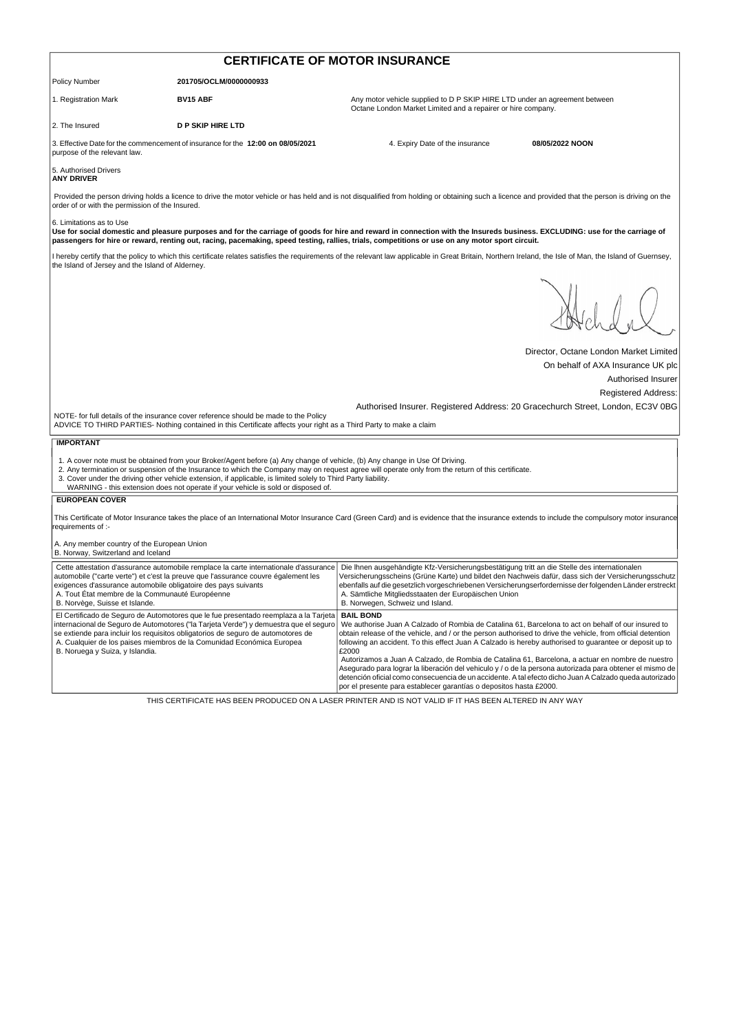| <b>CERTIFICATE OF MOTOR INSURANCE</b>                                                                                                               |                                                                                                                                                                                                                                                                                                                                            |                                                                                                                                                                                                                                                                                                                                                                                                                                                               |                                        |  |
|-----------------------------------------------------------------------------------------------------------------------------------------------------|--------------------------------------------------------------------------------------------------------------------------------------------------------------------------------------------------------------------------------------------------------------------------------------------------------------------------------------------|---------------------------------------------------------------------------------------------------------------------------------------------------------------------------------------------------------------------------------------------------------------------------------------------------------------------------------------------------------------------------------------------------------------------------------------------------------------|----------------------------------------|--|
| <b>Policy Number</b>                                                                                                                                | 201705/OCLM/0000000933                                                                                                                                                                                                                                                                                                                     |                                                                                                                                                                                                                                                                                                                                                                                                                                                               |                                        |  |
| 1. Registration Mark                                                                                                                                | <b>BV15 ABF</b>                                                                                                                                                                                                                                                                                                                            | Any motor vehicle supplied to D P SKIP HIRE LTD under an agreement between<br>Octane London Market Limited and a repairer or hire company.                                                                                                                                                                                                                                                                                                                    |                                        |  |
| 2. The Insured                                                                                                                                      | <b>D P SKIP HIRE LTD</b>                                                                                                                                                                                                                                                                                                                   |                                                                                                                                                                                                                                                                                                                                                                                                                                                               |                                        |  |
| purpose of the relevant law.                                                                                                                        | 3. Effective Date for the commencement of insurance for the 12:00 on 08/05/2021                                                                                                                                                                                                                                                            | 4. Expiry Date of the insurance                                                                                                                                                                                                                                                                                                                                                                                                                               | 08/05/2022 NOON                        |  |
| 5. Authorised Drivers<br><b>ANY DRIVER</b>                                                                                                          |                                                                                                                                                                                                                                                                                                                                            |                                                                                                                                                                                                                                                                                                                                                                                                                                                               |                                        |  |
| order of or with the permission of the Insured.                                                                                                     |                                                                                                                                                                                                                                                                                                                                            | Provided the person driving holds a licence to drive the motor vehicle or has held and is not disqualified from holding or obtaining such a licence and provided that the person is driving on the                                                                                                                                                                                                                                                            |                                        |  |
| 6. Limitations as to Use                                                                                                                            |                                                                                                                                                                                                                                                                                                                                            | Use for social domestic and pleasure purposes and for the carriage of goods for hire and reward in connection with the Insureds business. EXCLUDING: use for the carriage of<br>passengers for hire or reward, renting out, racing, pacemaking, speed testing, rallies, trials, competitions or use on any motor sport circuit.                                                                                                                               |                                        |  |
| the Island of Jersey and the Island of Alderney.                                                                                                    |                                                                                                                                                                                                                                                                                                                                            | I hereby certify that the policy to which this certificate relates satisfies the requirements of the relevant law applicable in Great Britain, Northern Ireland, the Isle of Man, the Island of Guernsey,                                                                                                                                                                                                                                                     |                                        |  |
|                                                                                                                                                     |                                                                                                                                                                                                                                                                                                                                            |                                                                                                                                                                                                                                                                                                                                                                                                                                                               |                                        |  |
|                                                                                                                                                     |                                                                                                                                                                                                                                                                                                                                            |                                                                                                                                                                                                                                                                                                                                                                                                                                                               | Director, Octane London Market Limited |  |
|                                                                                                                                                     |                                                                                                                                                                                                                                                                                                                                            |                                                                                                                                                                                                                                                                                                                                                                                                                                                               | On behalf of AXA Insurance UK plc      |  |
|                                                                                                                                                     |                                                                                                                                                                                                                                                                                                                                            |                                                                                                                                                                                                                                                                                                                                                                                                                                                               | Authorised Insurer                     |  |
|                                                                                                                                                     |                                                                                                                                                                                                                                                                                                                                            | Authorised Insurer. Registered Address: 20 Gracechurch Street, London, EC3V 0BG                                                                                                                                                                                                                                                                                                                                                                               | <b>Registered Address:</b>             |  |
|                                                                                                                                                     | NOTE- for full details of the insurance cover reference should be made to the Policy<br>ADVICE TO THIRD PARTIES- Nothing contained in this Certificate affects your right as a Third Party to make a claim                                                                                                                                 |                                                                                                                                                                                                                                                                                                                                                                                                                                                               |                                        |  |
| <b>IMPORTANT</b>                                                                                                                                    |                                                                                                                                                                                                                                                                                                                                            |                                                                                                                                                                                                                                                                                                                                                                                                                                                               |                                        |  |
|                                                                                                                                                     | 1. A cover note must be obtained from your Broker/Agent before (a) Any change of vehicle, (b) Any change in Use Of Driving.<br>3. Cover under the driving other vehicle extension, if applicable, is limited solely to Third Party liability.<br>WARNING - this extension does not operate if your vehicle is sold or disposed of.         | 2. Any termination or suspension of the Insurance to which the Company may on request agree will operate only from the return of this certificate.                                                                                                                                                                                                                                                                                                            |                                        |  |
| <b>EUROPEAN COVER</b>                                                                                                                               |                                                                                                                                                                                                                                                                                                                                            |                                                                                                                                                                                                                                                                                                                                                                                                                                                               |                                        |  |
| requirements of :-                                                                                                                                  |                                                                                                                                                                                                                                                                                                                                            | This Certificate of Motor Insurance takes the place of an International Motor Insurance Card (Green Card) and is evidence that the insurance extends to include the compulsory motor insurance                                                                                                                                                                                                                                                                |                                        |  |
| A. Any member country of the European Union<br>B. Norway, Switzerland and Iceland                                                                   |                                                                                                                                                                                                                                                                                                                                            |                                                                                                                                                                                                                                                                                                                                                                                                                                                               |                                        |  |
| exigences d'assurance automobile obligatoire des pays suivants<br>A. Tout État membre de la Communauté Européenne<br>B. Norvège, Suisse et Islande. | Cette attestation d'assurance automobile remplace la carte internationale d'assurance<br>automobile ("carte verte") et c'est la preuve que l'assurance couvre également les                                                                                                                                                                | Die Ihnen ausgehändigte Kfz-Versicherungsbestätigung tritt an die Stelle des internationalen<br>Versicherungsscheins (Grüne Karte) und bildet den Nachweis dafür, dass sich der Versicherungsschutz<br>ebenfalls auf die gesetzlich vorgeschriebenen Versicherungserfordernisse der folgenden Länder erstreckt<br>A. Sämtliche Mitgliedsstaaten der Europäischen Union<br>B. Norwegen, Schweiz und Island.                                                    |                                        |  |
| B. Noruega y Suiza, y Islandia.                                                                                                                     | El Certificado de Seguro de Automotores que le fue presentado reemplaza a la Tarjeta<br>internacional de Seguro de Automotores ("la Tarjeta Verde") y demuestra que el seguro<br>se extiende para incluir los requisitos obligatorios de seguro de automotores de<br>A. Cualquier de los paises miembros de la Comunidad Económica Europea | <b>BAIL BOND</b><br>We authorise Juan A Calzado of Rombia de Catalina 61, Barcelona to act on behalf of our insured to<br>obtain release of the vehicle, and / or the person authorised to drive the vehicle, from official detention<br>following an accident. To this effect Juan A Calzado is hereby authorised to guarantee or deposit up to<br>£2000<br>Autorizamos a Juan A Calzado, de Rombia de Catalina 61, Barcelona, a actuar en nombre de nuestro |                                        |  |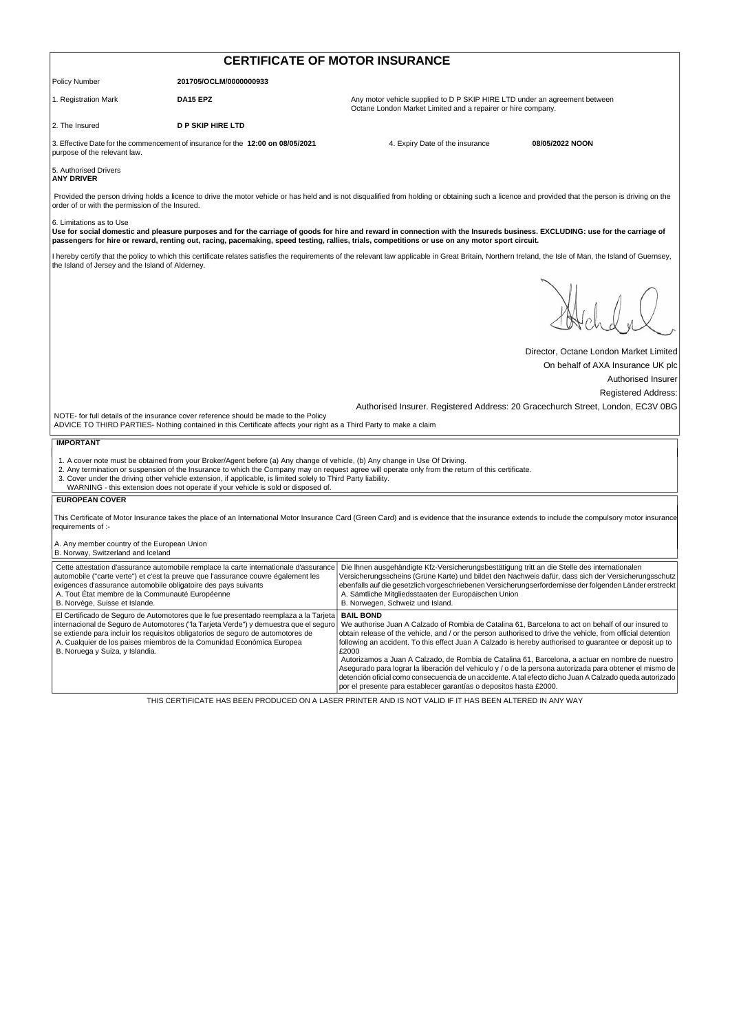| <b>CERTIFICATE OF MOTOR INSURANCE</b>                                                                                                               |                                                                                                                                                                                                                                                                                                                                            |                                                                                                                                                                                                                                                                                                                                                                                                                                                               |                                        |  |
|-----------------------------------------------------------------------------------------------------------------------------------------------------|--------------------------------------------------------------------------------------------------------------------------------------------------------------------------------------------------------------------------------------------------------------------------------------------------------------------------------------------|---------------------------------------------------------------------------------------------------------------------------------------------------------------------------------------------------------------------------------------------------------------------------------------------------------------------------------------------------------------------------------------------------------------------------------------------------------------|----------------------------------------|--|
| <b>Policy Number</b>                                                                                                                                | 201705/OCLM/0000000933                                                                                                                                                                                                                                                                                                                     |                                                                                                                                                                                                                                                                                                                                                                                                                                                               |                                        |  |
| 1. Registration Mark                                                                                                                                | DA15 EPZ                                                                                                                                                                                                                                                                                                                                   | Any motor vehicle supplied to D P SKIP HIRE LTD under an agreement between<br>Octane London Market Limited and a repairer or hire company.                                                                                                                                                                                                                                                                                                                    |                                        |  |
| 2. The Insured                                                                                                                                      | <b>D P SKIP HIRE LTD</b>                                                                                                                                                                                                                                                                                                                   |                                                                                                                                                                                                                                                                                                                                                                                                                                                               |                                        |  |
| purpose of the relevant law.                                                                                                                        | 3. Effective Date for the commencement of insurance for the 12:00 on 08/05/2021                                                                                                                                                                                                                                                            | 4. Expiry Date of the insurance                                                                                                                                                                                                                                                                                                                                                                                                                               | 08/05/2022 NOON                        |  |
| 5. Authorised Drivers<br><b>ANY DRIVER</b>                                                                                                          |                                                                                                                                                                                                                                                                                                                                            |                                                                                                                                                                                                                                                                                                                                                                                                                                                               |                                        |  |
| order of or with the permission of the Insured.                                                                                                     |                                                                                                                                                                                                                                                                                                                                            | Provided the person driving holds a licence to drive the motor vehicle or has held and is not disqualified from holding or obtaining such a licence and provided that the person is driving on the                                                                                                                                                                                                                                                            |                                        |  |
| 6. Limitations as to Use                                                                                                                            |                                                                                                                                                                                                                                                                                                                                            | Use for social domestic and pleasure purposes and for the carriage of goods for hire and reward in connection with the Insureds business. EXCLUDING: use for the carriage of<br>passengers for hire or reward, renting out, racing, pacemaking, speed testing, rallies, trials, competitions or use on any motor sport circuit.                                                                                                                               |                                        |  |
| the Island of Jersey and the Island of Alderney.                                                                                                    |                                                                                                                                                                                                                                                                                                                                            | I hereby certify that the policy to which this certificate relates satisfies the requirements of the relevant law applicable in Great Britain, Northern Ireland, the Isle of Man, the Island of Guernsey,                                                                                                                                                                                                                                                     |                                        |  |
|                                                                                                                                                     |                                                                                                                                                                                                                                                                                                                                            |                                                                                                                                                                                                                                                                                                                                                                                                                                                               |                                        |  |
|                                                                                                                                                     |                                                                                                                                                                                                                                                                                                                                            |                                                                                                                                                                                                                                                                                                                                                                                                                                                               | Director, Octane London Market Limited |  |
|                                                                                                                                                     |                                                                                                                                                                                                                                                                                                                                            |                                                                                                                                                                                                                                                                                                                                                                                                                                                               | On behalf of AXA Insurance UK plc      |  |
|                                                                                                                                                     |                                                                                                                                                                                                                                                                                                                                            |                                                                                                                                                                                                                                                                                                                                                                                                                                                               | Authorised Insurer                     |  |
|                                                                                                                                                     |                                                                                                                                                                                                                                                                                                                                            | Authorised Insurer. Registered Address: 20 Gracechurch Street, London, EC3V 0BG                                                                                                                                                                                                                                                                                                                                                                               | <b>Registered Address:</b>             |  |
|                                                                                                                                                     | NOTE- for full details of the insurance cover reference should be made to the Policy<br>ADVICE TO THIRD PARTIES- Nothing contained in this Certificate affects your right as a Third Party to make a claim                                                                                                                                 |                                                                                                                                                                                                                                                                                                                                                                                                                                                               |                                        |  |
| <b>IMPORTANT</b>                                                                                                                                    |                                                                                                                                                                                                                                                                                                                                            |                                                                                                                                                                                                                                                                                                                                                                                                                                                               |                                        |  |
|                                                                                                                                                     | 1. A cover note must be obtained from your Broker/Agent before (a) Any change of vehicle, (b) Any change in Use Of Driving.<br>3. Cover under the driving other vehicle extension, if applicable, is limited solely to Third Party liability.<br>WARNING - this extension does not operate if your vehicle is sold or disposed of.         | 2. Any termination or suspension of the Insurance to which the Company may on request agree will operate only from the return of this certificate.                                                                                                                                                                                                                                                                                                            |                                        |  |
| <b>EUROPEAN COVER</b>                                                                                                                               |                                                                                                                                                                                                                                                                                                                                            |                                                                                                                                                                                                                                                                                                                                                                                                                                                               |                                        |  |
| requirements of :-                                                                                                                                  |                                                                                                                                                                                                                                                                                                                                            | This Certificate of Motor Insurance takes the place of an International Motor Insurance Card (Green Card) and is evidence that the insurance extends to include the compulsory motor insurance                                                                                                                                                                                                                                                                |                                        |  |
| A. Any member country of the European Union<br>B. Norway, Switzerland and Iceland                                                                   |                                                                                                                                                                                                                                                                                                                                            |                                                                                                                                                                                                                                                                                                                                                                                                                                                               |                                        |  |
| exigences d'assurance automobile obligatoire des pays suivants<br>A. Tout État membre de la Communauté Européenne<br>B. Norvège, Suisse et Islande. | Cette attestation d'assurance automobile remplace la carte internationale d'assurance<br>automobile ("carte verte") et c'est la preuve que l'assurance couvre également les                                                                                                                                                                | Die Ihnen ausgehändigte Kfz-Versicherungsbestätigung tritt an die Stelle des internationalen<br>Versicherungsscheins (Grüne Karte) und bildet den Nachweis dafür, dass sich der Versicherungsschutz<br>ebenfalls auf die gesetzlich vorgeschriebenen Versicherungserfordernisse der folgenden Länder erstreckt<br>A. Sämtliche Mitgliedsstaaten der Europäischen Union<br>B. Norwegen, Schweiz und Island.                                                    |                                        |  |
| B. Noruega y Suiza, y Islandia.                                                                                                                     | El Certificado de Seguro de Automotores que le fue presentado reemplaza a la Tarjeta<br>internacional de Seguro de Automotores ("la Tarjeta Verde") y demuestra que el seguro<br>se extiende para incluir los requisitos obligatorios de seguro de automotores de<br>A. Cualquier de los paises miembros de la Comunidad Económica Europea | <b>BAIL BOND</b><br>We authorise Juan A Calzado of Rombia de Catalina 61, Barcelona to act on behalf of our insured to<br>obtain release of the vehicle, and / or the person authorised to drive the vehicle, from official detention<br>following an accident. To this effect Juan A Calzado is hereby authorised to guarantee or deposit up to<br>£2000<br>Autorizamos a Juan A Calzado, de Rombia de Catalina 61, Barcelona, a actuar en nombre de nuestro |                                        |  |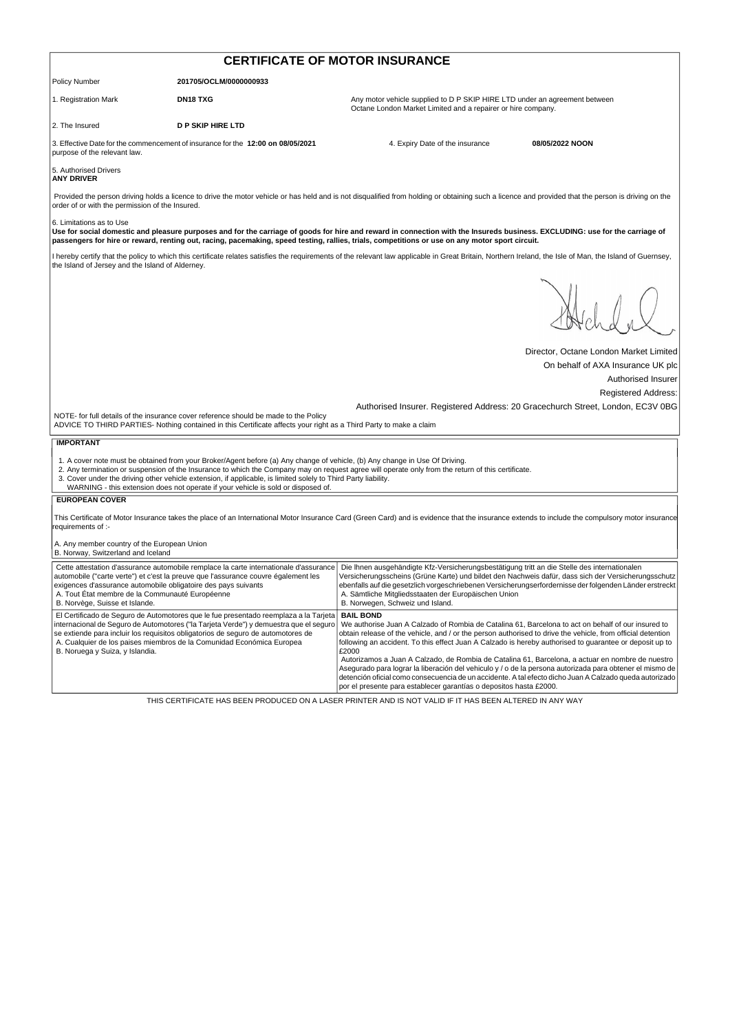| <b>CERTIFICATE OF MOTOR INSURANCE</b>                                                                                                                                                                                                                                                                                                                                                                                                                                                                                                                                                                                                                                                                                                                                                                                                          |                                                                                                                                                                                                                                                                                                                                    |                                                                                                                                                                                                                                                                                                                                                                                                            |                                        |  |
|------------------------------------------------------------------------------------------------------------------------------------------------------------------------------------------------------------------------------------------------------------------------------------------------------------------------------------------------------------------------------------------------------------------------------------------------------------------------------------------------------------------------------------------------------------------------------------------------------------------------------------------------------------------------------------------------------------------------------------------------------------------------------------------------------------------------------------------------|------------------------------------------------------------------------------------------------------------------------------------------------------------------------------------------------------------------------------------------------------------------------------------------------------------------------------------|------------------------------------------------------------------------------------------------------------------------------------------------------------------------------------------------------------------------------------------------------------------------------------------------------------------------------------------------------------------------------------------------------------|----------------------------------------|--|
| Policy Number                                                                                                                                                                                                                                                                                                                                                                                                                                                                                                                                                                                                                                                                                                                                                                                                                                  | 201705/OCLM/0000000933                                                                                                                                                                                                                                                                                                             |                                                                                                                                                                                                                                                                                                                                                                                                            |                                        |  |
| 1. Registration Mark                                                                                                                                                                                                                                                                                                                                                                                                                                                                                                                                                                                                                                                                                                                                                                                                                           | <b>DN18 TXG</b>                                                                                                                                                                                                                                                                                                                    | Any motor vehicle supplied to D P SKIP HIRE LTD under an agreement between<br>Octane London Market Limited and a repairer or hire company.                                                                                                                                                                                                                                                                 |                                        |  |
| 2. The Insured                                                                                                                                                                                                                                                                                                                                                                                                                                                                                                                                                                                                                                                                                                                                                                                                                                 | <b>D P SKIP HIRE LTD</b>                                                                                                                                                                                                                                                                                                           |                                                                                                                                                                                                                                                                                                                                                                                                            |                                        |  |
| purpose of the relevant law.                                                                                                                                                                                                                                                                                                                                                                                                                                                                                                                                                                                                                                                                                                                                                                                                                   | 3. Effective Date for the commencement of insurance for the 12:00 on 08/05/2021                                                                                                                                                                                                                                                    | 4. Expiry Date of the insurance                                                                                                                                                                                                                                                                                                                                                                            | 08/05/2022 NOON                        |  |
| 5. Authorised Drivers<br><b>ANY DRIVER</b>                                                                                                                                                                                                                                                                                                                                                                                                                                                                                                                                                                                                                                                                                                                                                                                                     |                                                                                                                                                                                                                                                                                                                                    |                                                                                                                                                                                                                                                                                                                                                                                                            |                                        |  |
| order of or with the permission of the Insured.                                                                                                                                                                                                                                                                                                                                                                                                                                                                                                                                                                                                                                                                                                                                                                                                |                                                                                                                                                                                                                                                                                                                                    | Provided the person driving holds a licence to drive the motor vehicle or has held and is not disqualified from holding or obtaining such a licence and provided that the person is driving on the                                                                                                                                                                                                         |                                        |  |
| 6. Limitations as to Use                                                                                                                                                                                                                                                                                                                                                                                                                                                                                                                                                                                                                                                                                                                                                                                                                       |                                                                                                                                                                                                                                                                                                                                    | Use for social domestic and pleasure purposes and for the carriage of goods for hire and reward in connection with the Insureds business. EXCLUDING: use for the carriage of<br>passengers for hire or reward, renting out, racing, pacemaking, speed testing, rallies, trials, competitions or use on any motor sport circuit.                                                                            |                                        |  |
| the Island of Jersey and the Island of Alderney.                                                                                                                                                                                                                                                                                                                                                                                                                                                                                                                                                                                                                                                                                                                                                                                               |                                                                                                                                                                                                                                                                                                                                    | I hereby certify that the policy to which this certificate relates satisfies the requirements of the relevant law applicable in Great Britain, Northern Ireland, the Isle of Man, the Island of Guernsey,                                                                                                                                                                                                  |                                        |  |
|                                                                                                                                                                                                                                                                                                                                                                                                                                                                                                                                                                                                                                                                                                                                                                                                                                                |                                                                                                                                                                                                                                                                                                                                    |                                                                                                                                                                                                                                                                                                                                                                                                            |                                        |  |
|                                                                                                                                                                                                                                                                                                                                                                                                                                                                                                                                                                                                                                                                                                                                                                                                                                                |                                                                                                                                                                                                                                                                                                                                    |                                                                                                                                                                                                                                                                                                                                                                                                            | Director, Octane London Market Limited |  |
|                                                                                                                                                                                                                                                                                                                                                                                                                                                                                                                                                                                                                                                                                                                                                                                                                                                |                                                                                                                                                                                                                                                                                                                                    |                                                                                                                                                                                                                                                                                                                                                                                                            | On behalf of AXA Insurance UK plc      |  |
|                                                                                                                                                                                                                                                                                                                                                                                                                                                                                                                                                                                                                                                                                                                                                                                                                                                |                                                                                                                                                                                                                                                                                                                                    |                                                                                                                                                                                                                                                                                                                                                                                                            | Authorised Insurer                     |  |
|                                                                                                                                                                                                                                                                                                                                                                                                                                                                                                                                                                                                                                                                                                                                                                                                                                                |                                                                                                                                                                                                                                                                                                                                    |                                                                                                                                                                                                                                                                                                                                                                                                            | <b>Registered Address:</b>             |  |
|                                                                                                                                                                                                                                                                                                                                                                                                                                                                                                                                                                                                                                                                                                                                                                                                                                                | NOTE- for full details of the insurance cover reference should be made to the Policy<br>ADVICE TO THIRD PARTIES- Nothing contained in this Certificate affects your right as a Third Party to make a claim                                                                                                                         | Authorised Insurer. Registered Address: 20 Gracechurch Street, London, EC3V 0BG                                                                                                                                                                                                                                                                                                                            |                                        |  |
| <b>IMPORTANT</b>                                                                                                                                                                                                                                                                                                                                                                                                                                                                                                                                                                                                                                                                                                                                                                                                                               |                                                                                                                                                                                                                                                                                                                                    |                                                                                                                                                                                                                                                                                                                                                                                                            |                                        |  |
|                                                                                                                                                                                                                                                                                                                                                                                                                                                                                                                                                                                                                                                                                                                                                                                                                                                | 1. A cover note must be obtained from your Broker/Agent before (a) Any change of vehicle, (b) Any change in Use Of Driving.<br>3. Cover under the driving other vehicle extension, if applicable, is limited solely to Third Party liability.<br>WARNING - this extension does not operate if your vehicle is sold or disposed of. | 2. Any termination or suspension of the Insurance to which the Company may on request agree will operate only from the return of this certificate.                                                                                                                                                                                                                                                         |                                        |  |
| <b>EUROPEAN COVER</b>                                                                                                                                                                                                                                                                                                                                                                                                                                                                                                                                                                                                                                                                                                                                                                                                                          |                                                                                                                                                                                                                                                                                                                                    |                                                                                                                                                                                                                                                                                                                                                                                                            |                                        |  |
| requirements of :-                                                                                                                                                                                                                                                                                                                                                                                                                                                                                                                                                                                                                                                                                                                                                                                                                             |                                                                                                                                                                                                                                                                                                                                    | This Certificate of Motor Insurance takes the place of an International Motor Insurance Card (Green Card) and is evidence that the insurance extends to include the compulsory motor insurance                                                                                                                                                                                                             |                                        |  |
| A. Any member country of the European Union<br>B. Norway, Switzerland and Iceland                                                                                                                                                                                                                                                                                                                                                                                                                                                                                                                                                                                                                                                                                                                                                              |                                                                                                                                                                                                                                                                                                                                    |                                                                                                                                                                                                                                                                                                                                                                                                            |                                        |  |
| exigences d'assurance automobile obligatoire des pays suivants<br>A. Tout État membre de la Communauté Européenne<br>B. Norvège, Suisse et Islande.                                                                                                                                                                                                                                                                                                                                                                                                                                                                                                                                                                                                                                                                                            | Cette attestation d'assurance automobile remplace la carte internationale d'assurance<br>automobile ("carte verte") et c'est la preuve que l'assurance couvre également les                                                                                                                                                        | Die Ihnen ausgehändigte Kfz-Versicherungsbestätigung tritt an die Stelle des internationalen<br>Versicherungsscheins (Grüne Karte) und bildet den Nachweis dafür, dass sich der Versicherungsschutz<br>ebenfalls auf die gesetzlich vorgeschriebenen Versicherungserfordernisse der folgenden Länder erstreckt<br>A. Sämtliche Mitgliedsstaaten der Europäischen Union<br>B. Norwegen, Schweiz und Island. |                                        |  |
| El Certificado de Seguro de Automotores que le fue presentado reemplaza a la Tarjeta<br><b>BAIL BOND</b><br>internacional de Seguro de Automotores ("la Tarjeta Verde") y demuestra que el seguro<br>We authorise Juan A Calzado of Rombia de Catalina 61, Barcelona to act on behalf of our insured to<br>se extiende para incluir los requisitos obligatorios de seguro de automotores de<br>obtain release of the vehicle, and / or the person authorised to drive the vehicle, from official detention<br>A. Cualquier de los paises miembros de la Comunidad Económica Europea<br>following an accident. To this effect Juan A Calzado is hereby authorised to guarantee or deposit up to<br>B. Noruega y Suiza, y Islandia.<br>£2000<br>Autorizamos a Juan A Calzado, de Rombia de Catalina 61, Barcelona, a actuar en nombre de nuestro |                                                                                                                                                                                                                                                                                                                                    |                                                                                                                                                                                                                                                                                                                                                                                                            |                                        |  |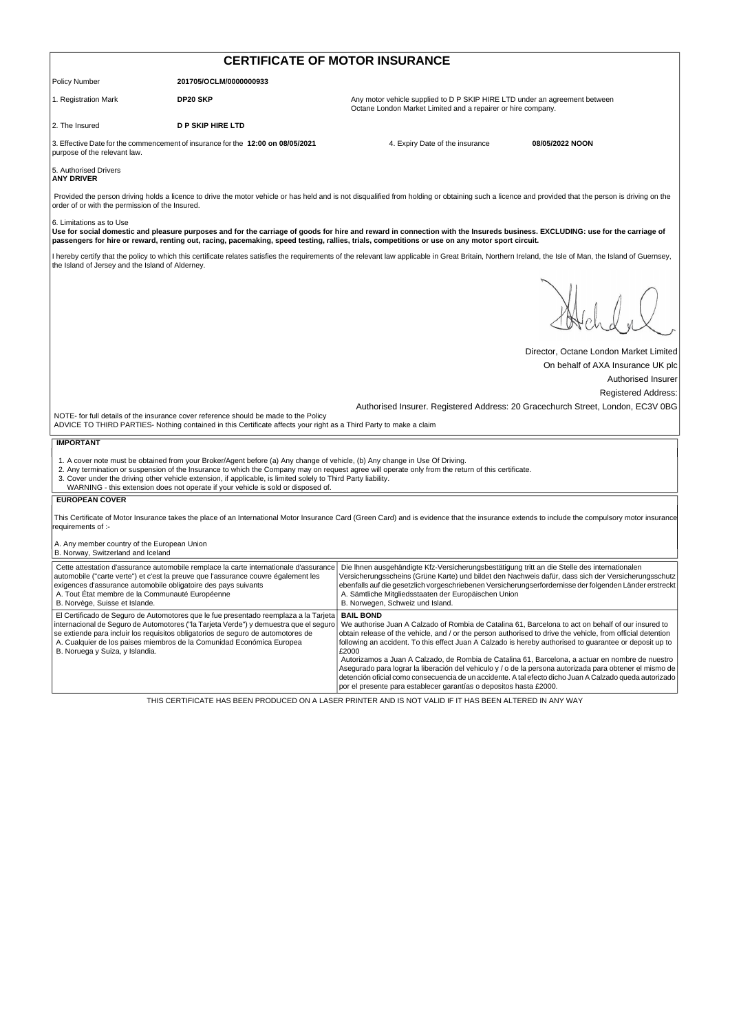| <b>CERTIFICATE OF MOTOR INSURANCE</b>                                                                                                               |                                                                                                                                                                                                                                                                                                                                            |                                                                                                                                                                                                                                                                                                                                                                                                            |                                        |  |
|-----------------------------------------------------------------------------------------------------------------------------------------------------|--------------------------------------------------------------------------------------------------------------------------------------------------------------------------------------------------------------------------------------------------------------------------------------------------------------------------------------------|------------------------------------------------------------------------------------------------------------------------------------------------------------------------------------------------------------------------------------------------------------------------------------------------------------------------------------------------------------------------------------------------------------|----------------------------------------|--|
| <b>Policy Number</b>                                                                                                                                | 201705/OCLM/0000000933                                                                                                                                                                                                                                                                                                                     |                                                                                                                                                                                                                                                                                                                                                                                                            |                                        |  |
| 1. Registration Mark                                                                                                                                | DP20 SKP                                                                                                                                                                                                                                                                                                                                   | Any motor vehicle supplied to D P SKIP HIRE LTD under an agreement between<br>Octane London Market Limited and a repairer or hire company.                                                                                                                                                                                                                                                                 |                                        |  |
| 2. The Insured                                                                                                                                      | <b>D P SKIP HIRE LTD</b>                                                                                                                                                                                                                                                                                                                   |                                                                                                                                                                                                                                                                                                                                                                                                            |                                        |  |
| purpose of the relevant law.                                                                                                                        | 3. Effective Date for the commencement of insurance for the 12:00 on 08/05/2021                                                                                                                                                                                                                                                            | 4. Expiry Date of the insurance                                                                                                                                                                                                                                                                                                                                                                            | 08/05/2022 NOON                        |  |
| 5. Authorised Drivers<br><b>ANY DRIVER</b>                                                                                                          |                                                                                                                                                                                                                                                                                                                                            |                                                                                                                                                                                                                                                                                                                                                                                                            |                                        |  |
| order of or with the permission of the Insured.                                                                                                     |                                                                                                                                                                                                                                                                                                                                            | Provided the person driving holds a licence to drive the motor vehicle or has held and is not disqualified from holding or obtaining such a licence and provided that the person is driving on the                                                                                                                                                                                                         |                                        |  |
| 6. Limitations as to Use                                                                                                                            |                                                                                                                                                                                                                                                                                                                                            | Use for social domestic and pleasure purposes and for the carriage of goods for hire and reward in connection with the Insureds business. EXCLUDING: use for the carriage of<br>passengers for hire or reward, renting out, racing, pacemaking, speed testing, rallies, trials, competitions or use on any motor sport circuit.                                                                            |                                        |  |
| the Island of Jersey and the Island of Alderney.                                                                                                    |                                                                                                                                                                                                                                                                                                                                            | I hereby certify that the policy to which this certificate relates satisfies the requirements of the relevant law applicable in Great Britain, Northern Ireland, the Isle of Man, the Island of Guernsey,                                                                                                                                                                                                  |                                        |  |
|                                                                                                                                                     |                                                                                                                                                                                                                                                                                                                                            |                                                                                                                                                                                                                                                                                                                                                                                                            |                                        |  |
|                                                                                                                                                     |                                                                                                                                                                                                                                                                                                                                            |                                                                                                                                                                                                                                                                                                                                                                                                            | Director, Octane London Market Limited |  |
|                                                                                                                                                     |                                                                                                                                                                                                                                                                                                                                            |                                                                                                                                                                                                                                                                                                                                                                                                            | On behalf of AXA Insurance UK plc      |  |
|                                                                                                                                                     |                                                                                                                                                                                                                                                                                                                                            |                                                                                                                                                                                                                                                                                                                                                                                                            | Authorised Insurer                     |  |
|                                                                                                                                                     |                                                                                                                                                                                                                                                                                                                                            |                                                                                                                                                                                                                                                                                                                                                                                                            | <b>Registered Address:</b>             |  |
|                                                                                                                                                     | NOTE- for full details of the insurance cover reference should be made to the Policy<br>ADVICE TO THIRD PARTIES- Nothing contained in this Certificate affects your right as a Third Party to make a claim                                                                                                                                 | Authorised Insurer. Registered Address: 20 Gracechurch Street, London, EC3V 0BG                                                                                                                                                                                                                                                                                                                            |                                        |  |
| <b>IMPORTANT</b>                                                                                                                                    |                                                                                                                                                                                                                                                                                                                                            |                                                                                                                                                                                                                                                                                                                                                                                                            |                                        |  |
|                                                                                                                                                     | 1. A cover note must be obtained from your Broker/Agent before (a) Any change of vehicle, (b) Any change in Use Of Driving.<br>3. Cover under the driving other vehicle extension, if applicable, is limited solely to Third Party liability.<br>WARNING - this extension does not operate if your vehicle is sold or disposed of.         | 2. Any termination or suspension of the Insurance to which the Company may on request agree will operate only from the return of this certificate.                                                                                                                                                                                                                                                         |                                        |  |
| <b>EUROPEAN COVER</b>                                                                                                                               |                                                                                                                                                                                                                                                                                                                                            |                                                                                                                                                                                                                                                                                                                                                                                                            |                                        |  |
| requirements of :-                                                                                                                                  |                                                                                                                                                                                                                                                                                                                                            | This Certificate of Motor Insurance takes the place of an International Motor Insurance Card (Green Card) and is evidence that the insurance extends to include the compulsory motor insurance                                                                                                                                                                                                             |                                        |  |
| A. Any member country of the European Union<br>B. Norway, Switzerland and Iceland                                                                   |                                                                                                                                                                                                                                                                                                                                            |                                                                                                                                                                                                                                                                                                                                                                                                            |                                        |  |
| exigences d'assurance automobile obligatoire des pays suivants<br>A. Tout État membre de la Communauté Européenne<br>B. Norvège, Suisse et Islande. | Cette attestation d'assurance automobile remplace la carte internationale d'assurance<br>automobile ("carte verte") et c'est la preuve que l'assurance couvre également les                                                                                                                                                                | Die Ihnen ausgehändigte Kfz-Versicherungsbestätigung tritt an die Stelle des internationalen<br>Versicherungsscheins (Grüne Karte) und bildet den Nachweis dafür, dass sich der Versicherungsschutz<br>ebenfalls auf die gesetzlich vorgeschriebenen Versicherungserfordernisse der folgenden Länder erstreckt<br>A. Sämtliche Mitgliedsstaaten der Europäischen Union<br>B. Norwegen, Schweiz und Island. |                                        |  |
| B. Noruega y Suiza, y Islandia.                                                                                                                     | El Certificado de Seguro de Automotores que le fue presentado reemplaza a la Tarjeta<br>internacional de Seguro de Automotores ("la Tarjeta Verde") y demuestra que el seguro<br>se extiende para incluir los requisitos obligatorios de seguro de automotores de<br>A. Cualquier de los paises miembros de la Comunidad Económica Europea | <b>BAIL BOND</b><br>We authorise Juan A Calzado of Rombia de Catalina 61, Barcelona to act on behalf of our insured to<br>obtain release of the vehicle, and / or the person authorised to drive the vehicle, from official detention<br>following an accident. To this effect Juan A Calzado is hereby authorised to guarantee or deposit up to<br>£2000                                                  |                                        |  |
|                                                                                                                                                     |                                                                                                                                                                                                                                                                                                                                            | Autorizamos a Juan A Calzado, de Rombia de Catalina 61, Barcelona, a actuar en nombre de nuestro<br>Asegurado para lograr la liberación del vehiculo y / o de la persona autorizada para obtener el mismo de<br>detención oficial como consecuencia de un accidente. A tal efecto dicho Juan A Calzado queda autorizado<br>por el presente para establecer garantías o depositos hasta £2000.              |                                        |  |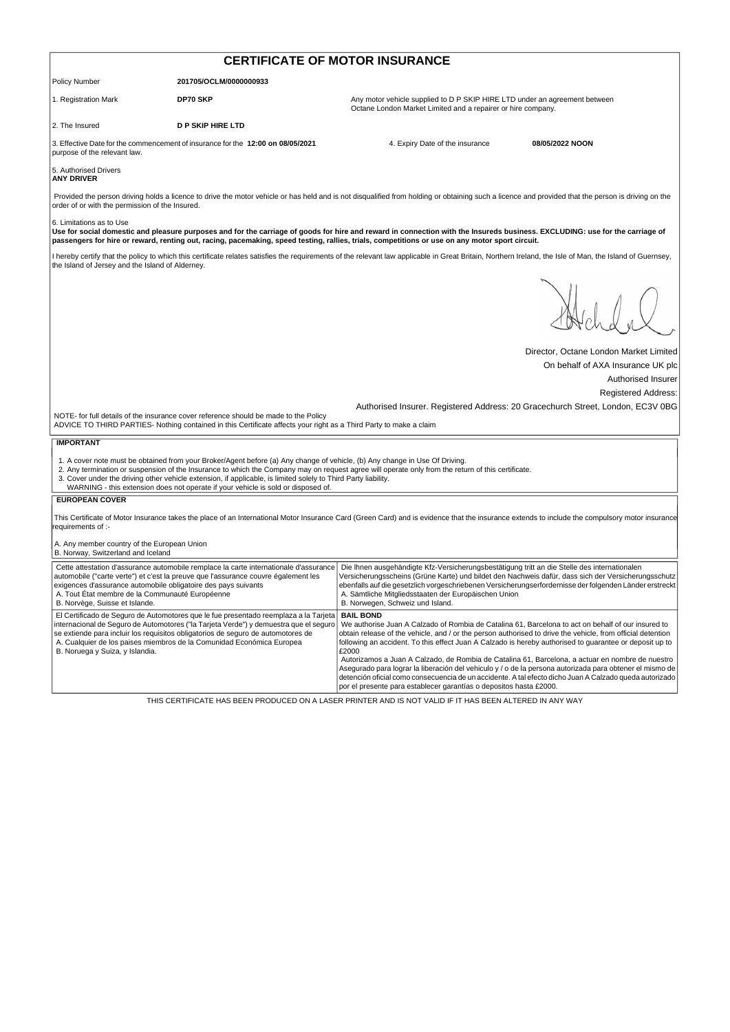| <b>CERTIFICATE OF MOTOR INSURANCE</b>                                                                                                               |                                                                                                                                                                                                                                                                                                                                            |                                                                                                                                                                                                                                                                                                                                                                                                            |                                        |  |
|-----------------------------------------------------------------------------------------------------------------------------------------------------|--------------------------------------------------------------------------------------------------------------------------------------------------------------------------------------------------------------------------------------------------------------------------------------------------------------------------------------------|------------------------------------------------------------------------------------------------------------------------------------------------------------------------------------------------------------------------------------------------------------------------------------------------------------------------------------------------------------------------------------------------------------|----------------------------------------|--|
| <b>Policy Number</b>                                                                                                                                | 201705/OCLM/0000000933                                                                                                                                                                                                                                                                                                                     |                                                                                                                                                                                                                                                                                                                                                                                                            |                                        |  |
| 1. Registration Mark                                                                                                                                | <b>DP70 SKP</b>                                                                                                                                                                                                                                                                                                                            | Any motor vehicle supplied to D P SKIP HIRE LTD under an agreement between<br>Octane London Market Limited and a repairer or hire company.                                                                                                                                                                                                                                                                 |                                        |  |
| 2. The Insured                                                                                                                                      | <b>D P SKIP HIRE LTD</b>                                                                                                                                                                                                                                                                                                                   |                                                                                                                                                                                                                                                                                                                                                                                                            |                                        |  |
| purpose of the relevant law.                                                                                                                        | 3. Effective Date for the commencement of insurance for the 12:00 on 08/05/2021                                                                                                                                                                                                                                                            | 4. Expiry Date of the insurance                                                                                                                                                                                                                                                                                                                                                                            | 08/05/2022 NOON                        |  |
| 5. Authorised Drivers<br><b>ANY DRIVER</b>                                                                                                          |                                                                                                                                                                                                                                                                                                                                            |                                                                                                                                                                                                                                                                                                                                                                                                            |                                        |  |
| order of or with the permission of the Insured.                                                                                                     |                                                                                                                                                                                                                                                                                                                                            | Provided the person driving holds a licence to drive the motor vehicle or has held and is not disqualified from holding or obtaining such a licence and provided that the person is driving on the                                                                                                                                                                                                         |                                        |  |
| 6. Limitations as to Use                                                                                                                            |                                                                                                                                                                                                                                                                                                                                            | Use for social domestic and pleasure purposes and for the carriage of goods for hire and reward in connection with the Insureds business. EXCLUDING: use for the carriage of<br>passengers for hire or reward, renting out, racing, pacemaking, speed testing, rallies, trials, competitions or use on any motor sport circuit.                                                                            |                                        |  |
| the Island of Jersey and the Island of Alderney.                                                                                                    |                                                                                                                                                                                                                                                                                                                                            | I hereby certify that the policy to which this certificate relates satisfies the requirements of the relevant law applicable in Great Britain, Northern Ireland, the Isle of Man, the Island of Guernsey,                                                                                                                                                                                                  |                                        |  |
|                                                                                                                                                     |                                                                                                                                                                                                                                                                                                                                            |                                                                                                                                                                                                                                                                                                                                                                                                            |                                        |  |
|                                                                                                                                                     |                                                                                                                                                                                                                                                                                                                                            |                                                                                                                                                                                                                                                                                                                                                                                                            | Director, Octane London Market Limited |  |
|                                                                                                                                                     |                                                                                                                                                                                                                                                                                                                                            |                                                                                                                                                                                                                                                                                                                                                                                                            | On behalf of AXA Insurance UK plc      |  |
|                                                                                                                                                     |                                                                                                                                                                                                                                                                                                                                            |                                                                                                                                                                                                                                                                                                                                                                                                            | Authorised Insurer                     |  |
|                                                                                                                                                     |                                                                                                                                                                                                                                                                                                                                            |                                                                                                                                                                                                                                                                                                                                                                                                            | <b>Registered Address:</b>             |  |
|                                                                                                                                                     | NOTE- for full details of the insurance cover reference should be made to the Policy<br>ADVICE TO THIRD PARTIES- Nothing contained in this Certificate affects your right as a Third Party to make a claim                                                                                                                                 | Authorised Insurer. Registered Address: 20 Gracechurch Street, London, EC3V 0BG                                                                                                                                                                                                                                                                                                                            |                                        |  |
| <b>IMPORTANT</b>                                                                                                                                    |                                                                                                                                                                                                                                                                                                                                            |                                                                                                                                                                                                                                                                                                                                                                                                            |                                        |  |
|                                                                                                                                                     | 1. A cover note must be obtained from your Broker/Agent before (a) Any change of vehicle, (b) Any change in Use Of Driving.<br>3. Cover under the driving other vehicle extension, if applicable, is limited solely to Third Party liability.<br>WARNING - this extension does not operate if your vehicle is sold or disposed of.         | 2. Any termination or suspension of the Insurance to which the Company may on request agree will operate only from the return of this certificate.                                                                                                                                                                                                                                                         |                                        |  |
| <b>EUROPEAN COVER</b>                                                                                                                               |                                                                                                                                                                                                                                                                                                                                            |                                                                                                                                                                                                                                                                                                                                                                                                            |                                        |  |
| requirements of :-                                                                                                                                  |                                                                                                                                                                                                                                                                                                                                            | This Certificate of Motor Insurance takes the place of an International Motor Insurance Card (Green Card) and is evidence that the insurance extends to include the compulsory motor insurance                                                                                                                                                                                                             |                                        |  |
| A. Any member country of the European Union<br>B. Norway, Switzerland and Iceland                                                                   |                                                                                                                                                                                                                                                                                                                                            |                                                                                                                                                                                                                                                                                                                                                                                                            |                                        |  |
| exigences d'assurance automobile obligatoire des pays suivants<br>A. Tout État membre de la Communauté Européenne<br>B. Norvège, Suisse et Islande. | Cette attestation d'assurance automobile remplace la carte internationale d'assurance<br>automobile ("carte verte") et c'est la preuve que l'assurance couvre également les                                                                                                                                                                | Die Ihnen ausgehändigte Kfz-Versicherungsbestätigung tritt an die Stelle des internationalen<br>Versicherungsscheins (Grüne Karte) und bildet den Nachweis dafür, dass sich der Versicherungsschutz<br>ebenfalls auf die gesetzlich vorgeschriebenen Versicherungserfordernisse der folgenden Länder erstreckt<br>A. Sämtliche Mitgliedsstaaten der Europäischen Union<br>B. Norwegen, Schweiz und Island. |                                        |  |
| B. Noruega y Suiza, y Islandia.                                                                                                                     | El Certificado de Seguro de Automotores que le fue presentado reemplaza a la Tarjeta<br>internacional de Seguro de Automotores ("la Tarjeta Verde") y demuestra que el seguro<br>se extiende para incluir los requisitos obligatorios de seguro de automotores de<br>A. Cualquier de los paises miembros de la Comunidad Económica Europea | <b>BAIL BOND</b><br>We authorise Juan A Calzado of Rombia de Catalina 61, Barcelona to act on behalf of our insured to<br>obtain release of the vehicle, and / or the person authorised to drive the vehicle, from official detention<br>following an accident. To this effect Juan A Calzado is hereby authorised to guarantee or deposit up to<br>£2000                                                  |                                        |  |
|                                                                                                                                                     |                                                                                                                                                                                                                                                                                                                                            | Autorizamos a Juan A Calzado, de Rombia de Catalina 61, Barcelona, a actuar en nombre de nuestro<br>Asegurado para lograr la liberación del vehiculo y / o de la persona autorizada para obtener el mismo de<br>detención oficial como consecuencia de un accidente. A tal efecto dicho Juan A Calzado queda autorizado<br>por el presente para establecer garantías o depositos hasta £2000.              |                                        |  |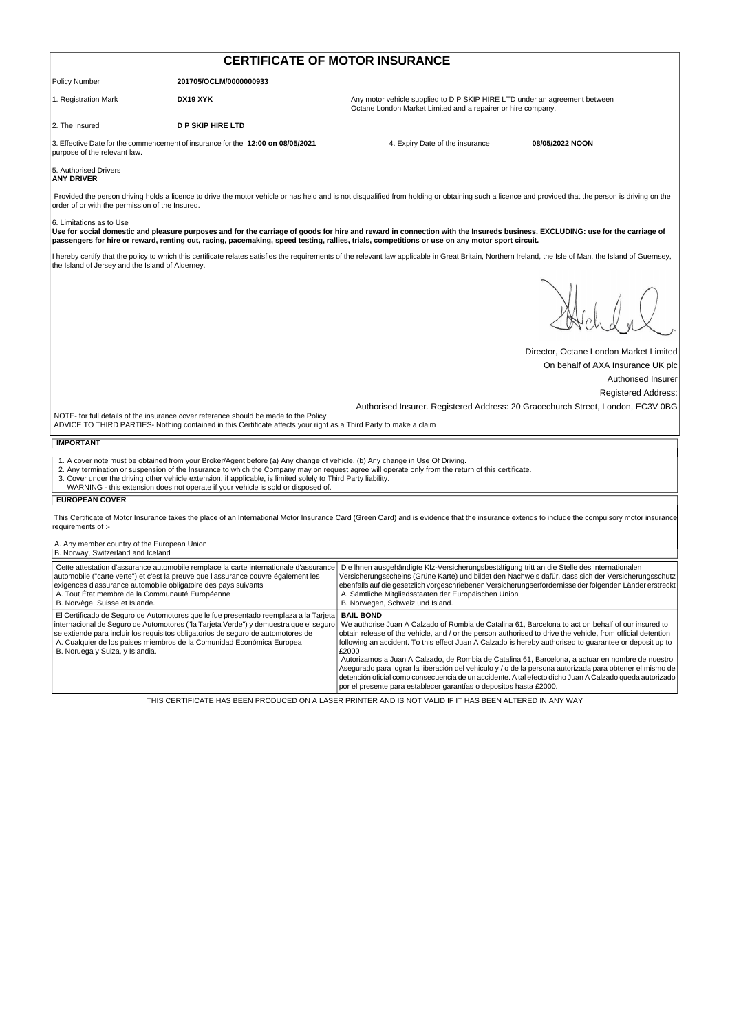| <b>CERTIFICATE OF MOTOR INSURANCE</b>                                                                                                               |                                                                                                                                                                                                                                                                                                                                            |                                                                                                                                                                                                                                                                                                                                                                                                                                                               |                                                  |  |
|-----------------------------------------------------------------------------------------------------------------------------------------------------|--------------------------------------------------------------------------------------------------------------------------------------------------------------------------------------------------------------------------------------------------------------------------------------------------------------------------------------------|---------------------------------------------------------------------------------------------------------------------------------------------------------------------------------------------------------------------------------------------------------------------------------------------------------------------------------------------------------------------------------------------------------------------------------------------------------------|--------------------------------------------------|--|
| Policy Number                                                                                                                                       | 201705/OCLM/0000000933                                                                                                                                                                                                                                                                                                                     |                                                                                                                                                                                                                                                                                                                                                                                                                                                               |                                                  |  |
| 1. Registration Mark                                                                                                                                | DX19 XYK                                                                                                                                                                                                                                                                                                                                   | Any motor vehicle supplied to D P SKIP HIRE LTD under an agreement between<br>Octane London Market Limited and a repairer or hire company.                                                                                                                                                                                                                                                                                                                    |                                                  |  |
| 2. The Insured                                                                                                                                      | <b>D P SKIP HIRE LTD</b>                                                                                                                                                                                                                                                                                                                   |                                                                                                                                                                                                                                                                                                                                                                                                                                                               |                                                  |  |
| purpose of the relevant law.                                                                                                                        | 3. Effective Date for the commencement of insurance for the 12:00 on 08/05/2021                                                                                                                                                                                                                                                            | 4. Expiry Date of the insurance                                                                                                                                                                                                                                                                                                                                                                                                                               | 08/05/2022 NOON                                  |  |
| 5. Authorised Drivers<br><b>ANY DRIVER</b>                                                                                                          |                                                                                                                                                                                                                                                                                                                                            |                                                                                                                                                                                                                                                                                                                                                                                                                                                               |                                                  |  |
| order of or with the permission of the Insured.                                                                                                     |                                                                                                                                                                                                                                                                                                                                            | Provided the person driving holds a licence to drive the motor vehicle or has held and is not disqualified from holding or obtaining such a licence and provided that the person is driving on the                                                                                                                                                                                                                                                            |                                                  |  |
| 6. Limitations as to Use                                                                                                                            |                                                                                                                                                                                                                                                                                                                                            | Use for social domestic and pleasure purposes and for the carriage of goods for hire and reward in connection with the Insureds business. EXCLUDING: use for the carriage of<br>passengers for hire or reward, renting out, racing, pacemaking, speed testing, rallies, trials, competitions or use on any motor sport circuit.                                                                                                                               |                                                  |  |
| the Island of Jersey and the Island of Alderney.                                                                                                    |                                                                                                                                                                                                                                                                                                                                            | I hereby certify that the policy to which this certificate relates satisfies the requirements of the relevant law applicable in Great Britain, Northern Ireland, the Isle of Man, the Island of Guernsey,                                                                                                                                                                                                                                                     |                                                  |  |
|                                                                                                                                                     |                                                                                                                                                                                                                                                                                                                                            |                                                                                                                                                                                                                                                                                                                                                                                                                                                               |                                                  |  |
|                                                                                                                                                     |                                                                                                                                                                                                                                                                                                                                            |                                                                                                                                                                                                                                                                                                                                                                                                                                                               | Director, Octane London Market Limited           |  |
|                                                                                                                                                     |                                                                                                                                                                                                                                                                                                                                            |                                                                                                                                                                                                                                                                                                                                                                                                                                                               | On behalf of AXA Insurance UK plc                |  |
|                                                                                                                                                     |                                                                                                                                                                                                                                                                                                                                            |                                                                                                                                                                                                                                                                                                                                                                                                                                                               | Authorised Insurer<br><b>Registered Address:</b> |  |
|                                                                                                                                                     |                                                                                                                                                                                                                                                                                                                                            | Authorised Insurer. Registered Address: 20 Gracechurch Street, London, EC3V 0BG                                                                                                                                                                                                                                                                                                                                                                               |                                                  |  |
|                                                                                                                                                     | NOTE- for full details of the insurance cover reference should be made to the Policy<br>ADVICE TO THIRD PARTIES- Nothing contained in this Certificate affects your right as a Third Party to make a claim                                                                                                                                 |                                                                                                                                                                                                                                                                                                                                                                                                                                                               |                                                  |  |
| <b>IMPORTANT</b>                                                                                                                                    |                                                                                                                                                                                                                                                                                                                                            |                                                                                                                                                                                                                                                                                                                                                                                                                                                               |                                                  |  |
|                                                                                                                                                     | 1. A cover note must be obtained from your Broker/Agent before (a) Any change of vehicle, (b) Any change in Use Of Driving.<br>3. Cover under the driving other vehicle extension, if applicable, is limited solely to Third Party liability.<br>WARNING - this extension does not operate if your vehicle is sold or disposed of.         | 2. Any termination or suspension of the Insurance to which the Company may on request agree will operate only from the return of this certificate.                                                                                                                                                                                                                                                                                                            |                                                  |  |
| <b>EUROPEAN COVER</b>                                                                                                                               |                                                                                                                                                                                                                                                                                                                                            |                                                                                                                                                                                                                                                                                                                                                                                                                                                               |                                                  |  |
| requirements of :-                                                                                                                                  |                                                                                                                                                                                                                                                                                                                                            | This Certificate of Motor Insurance takes the place of an International Motor Insurance Card (Green Card) and is evidence that the insurance extends to include the compulsory motor insurance                                                                                                                                                                                                                                                                |                                                  |  |
| A. Any member country of the European Union<br>B. Norway, Switzerland and Iceland                                                                   |                                                                                                                                                                                                                                                                                                                                            |                                                                                                                                                                                                                                                                                                                                                                                                                                                               |                                                  |  |
| exigences d'assurance automobile obligatoire des pays suivants<br>A. Tout État membre de la Communauté Européenne<br>B. Norvège, Suisse et Islande. | Cette attestation d'assurance automobile remplace la carte internationale d'assurance<br>automobile ("carte verte") et c'est la preuve que l'assurance couvre également les                                                                                                                                                                | Die Ihnen ausgehändigte Kfz-Versicherungsbestätigung tritt an die Stelle des internationalen<br>Versicherungsscheins (Grüne Karte) und bildet den Nachweis dafür, dass sich der Versicherungsschutz<br>ebenfalls auf die gesetzlich vorgeschriebenen Versicherungserfordernisse der folgenden Länder erstreckt<br>A. Sämtliche Mitgliedsstaaten der Europäischen Union<br>B. Norwegen, Schweiz und Island.                                                    |                                                  |  |
| B. Noruega y Suiza, y Islandia.                                                                                                                     | El Certificado de Seguro de Automotores que le fue presentado reemplaza a la Tarjeta<br>internacional de Seguro de Automotores ("la Tarjeta Verde") y demuestra que el seguro<br>se extiende para incluir los requisitos obligatorios de seguro de automotores de<br>A. Cualquier de los paises miembros de la Comunidad Económica Europea | <b>BAIL BOND</b><br>We authorise Juan A Calzado of Rombia de Catalina 61, Barcelona to act on behalf of our insured to<br>obtain release of the vehicle, and / or the person authorised to drive the vehicle, from official detention<br>following an accident. To this effect Juan A Calzado is hereby authorised to guarantee or deposit up to<br>£2000<br>Autorizamos a Juan A Calzado, de Rombia de Catalina 61, Barcelona, a actuar en nombre de nuestro |                                                  |  |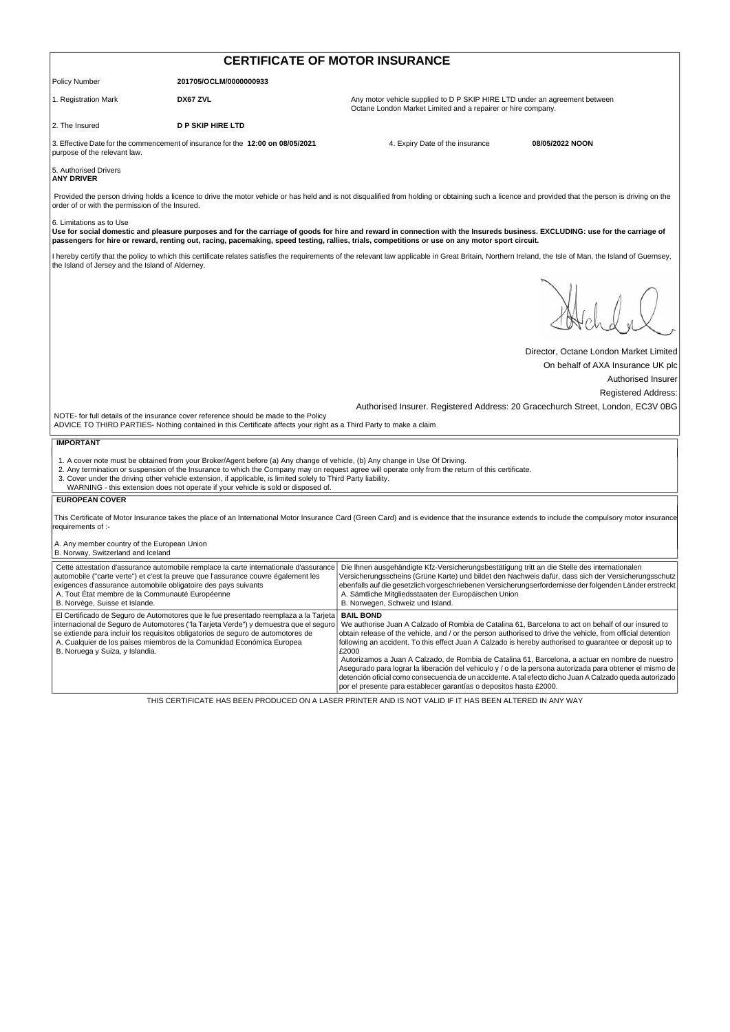| <b>CERTIFICATE OF MOTOR INSURANCE</b>                                                                                                               |                                                                                                                                                                                                                                                                                                                                            |                                                                                                                                                                                                                                                                                                                                                                                                                                                                                                                                                                                                                                                                                                                                                            |                                                                                 |  |
|-----------------------------------------------------------------------------------------------------------------------------------------------------|--------------------------------------------------------------------------------------------------------------------------------------------------------------------------------------------------------------------------------------------------------------------------------------------------------------------------------------------|------------------------------------------------------------------------------------------------------------------------------------------------------------------------------------------------------------------------------------------------------------------------------------------------------------------------------------------------------------------------------------------------------------------------------------------------------------------------------------------------------------------------------------------------------------------------------------------------------------------------------------------------------------------------------------------------------------------------------------------------------------|---------------------------------------------------------------------------------|--|
| <b>Policy Number</b>                                                                                                                                | 201705/OCLM/0000000933                                                                                                                                                                                                                                                                                                                     |                                                                                                                                                                                                                                                                                                                                                                                                                                                                                                                                                                                                                                                                                                                                                            |                                                                                 |  |
| 1. Registration Mark                                                                                                                                | DX67 ZVL                                                                                                                                                                                                                                                                                                                                   | Any motor vehicle supplied to D P SKIP HIRE LTD under an agreement between<br>Octane London Market Limited and a repairer or hire company.                                                                                                                                                                                                                                                                                                                                                                                                                                                                                                                                                                                                                 |                                                                                 |  |
| 2. The Insured                                                                                                                                      | <b>D P SKIP HIRE LTD</b>                                                                                                                                                                                                                                                                                                                   |                                                                                                                                                                                                                                                                                                                                                                                                                                                                                                                                                                                                                                                                                                                                                            |                                                                                 |  |
| purpose of the relevant law.                                                                                                                        | 3. Effective Date for the commencement of insurance for the 12:00 on 08/05/2021                                                                                                                                                                                                                                                            | 4. Expiry Date of the insurance                                                                                                                                                                                                                                                                                                                                                                                                                                                                                                                                                                                                                                                                                                                            | 08/05/2022 NOON                                                                 |  |
| 5. Authorised Drivers<br><b>ANY DRIVER</b>                                                                                                          |                                                                                                                                                                                                                                                                                                                                            |                                                                                                                                                                                                                                                                                                                                                                                                                                                                                                                                                                                                                                                                                                                                                            |                                                                                 |  |
| order of or with the permission of the Insured.                                                                                                     |                                                                                                                                                                                                                                                                                                                                            | Provided the person driving holds a licence to drive the motor vehicle or has held and is not disqualified from holding or obtaining such a licence and provided that the person is driving on the                                                                                                                                                                                                                                                                                                                                                                                                                                                                                                                                                         |                                                                                 |  |
| 6. Limitations as to Use                                                                                                                            |                                                                                                                                                                                                                                                                                                                                            | Use for social domestic and pleasure purposes and for the carriage of goods for hire and reward in connection with the Insureds business. EXCLUDING: use for the carriage of<br>passengers for hire or reward, renting out, racing, pacemaking, speed testing, rallies, trials, competitions or use on any motor sport circuit.                                                                                                                                                                                                                                                                                                                                                                                                                            |                                                                                 |  |
| the Island of Jersey and the Island of Alderney.                                                                                                    |                                                                                                                                                                                                                                                                                                                                            | I hereby certify that the policy to which this certificate relates satisfies the requirements of the relevant law applicable in Great Britain, Northern Ireland, the Isle of Man, the Island of Guernsey,                                                                                                                                                                                                                                                                                                                                                                                                                                                                                                                                                  |                                                                                 |  |
|                                                                                                                                                     |                                                                                                                                                                                                                                                                                                                                            |                                                                                                                                                                                                                                                                                                                                                                                                                                                                                                                                                                                                                                                                                                                                                            | Director, Octane London Market Limited                                          |  |
|                                                                                                                                                     |                                                                                                                                                                                                                                                                                                                                            |                                                                                                                                                                                                                                                                                                                                                                                                                                                                                                                                                                                                                                                                                                                                                            | On behalf of AXA Insurance UK plc                                               |  |
|                                                                                                                                                     |                                                                                                                                                                                                                                                                                                                                            |                                                                                                                                                                                                                                                                                                                                                                                                                                                                                                                                                                                                                                                                                                                                                            | Authorised Insurer<br><b>Registered Address:</b>                                |  |
|                                                                                                                                                     | NOTE- for full details of the insurance cover reference should be made to the Policy<br>ADVICE TO THIRD PARTIES- Nothing contained in this Certificate affects your right as a Third Party to make a claim                                                                                                                                 |                                                                                                                                                                                                                                                                                                                                                                                                                                                                                                                                                                                                                                                                                                                                                            | Authorised Insurer. Registered Address: 20 Gracechurch Street, London, EC3V 0BG |  |
| <b>IMPORTANT</b>                                                                                                                                    |                                                                                                                                                                                                                                                                                                                                            |                                                                                                                                                                                                                                                                                                                                                                                                                                                                                                                                                                                                                                                                                                                                                            |                                                                                 |  |
|                                                                                                                                                     | 1. A cover note must be obtained from your Broker/Agent before (a) Any change of vehicle, (b) Any change in Use Of Driving.<br>3. Cover under the driving other vehicle extension, if applicable, is limited solely to Third Party liability.<br>WARNING - this extension does not operate if your vehicle is sold or disposed of.         | 2. Any termination or suspension of the Insurance to which the Company may on request agree will operate only from the return of this certificate.                                                                                                                                                                                                                                                                                                                                                                                                                                                                                                                                                                                                         |                                                                                 |  |
| <b>EUROPEAN COVER</b>                                                                                                                               |                                                                                                                                                                                                                                                                                                                                            |                                                                                                                                                                                                                                                                                                                                                                                                                                                                                                                                                                                                                                                                                                                                                            |                                                                                 |  |
| requirements of :-                                                                                                                                  |                                                                                                                                                                                                                                                                                                                                            | This Certificate of Motor Insurance takes the place of an International Motor Insurance Card (Green Card) and is evidence that the insurance extends to include the compulsory motor insurance                                                                                                                                                                                                                                                                                                                                                                                                                                                                                                                                                             |                                                                                 |  |
| A. Any member country of the European Union<br>B. Norway, Switzerland and Iceland                                                                   |                                                                                                                                                                                                                                                                                                                                            |                                                                                                                                                                                                                                                                                                                                                                                                                                                                                                                                                                                                                                                                                                                                                            |                                                                                 |  |
| exigences d'assurance automobile obligatoire des pays suivants<br>A. Tout État membre de la Communauté Européenne<br>B. Norvège, Suisse et Islande. | Cette attestation d'assurance automobile remplace la carte internationale d'assurance<br>automobile ("carte verte") et c'est la preuve que l'assurance couvre également les                                                                                                                                                                | Die Ihnen ausgehändigte Kfz-Versicherungsbestätigung tritt an die Stelle des internationalen<br>Versicherungsscheins (Grüne Karte) und bildet den Nachweis dafür, dass sich der Versicherungsschutz<br>ebenfalls auf die gesetzlich vorgeschriebenen Versicherungserfordernisse der folgenden Länder erstreckt<br>A. Sämtliche Mitgliedsstaaten der Europäischen Union<br>B. Norwegen, Schweiz und Island.                                                                                                                                                                                                                                                                                                                                                 |                                                                                 |  |
| B. Noruega y Suiza, y Islandia.                                                                                                                     | El Certificado de Seguro de Automotores que le fue presentado reemplaza a la Tarjeta<br>internacional de Seguro de Automotores ("la Tarjeta Verde") y demuestra que el seguro<br>se extiende para incluir los requisitos obligatorios de seguro de automotores de<br>A. Cualquier de los paises miembros de la Comunidad Económica Europea | <b>BAIL BOND</b><br>We authorise Juan A Calzado of Rombia de Catalina 61, Barcelona to act on behalf of our insured to<br>obtain release of the vehicle, and / or the person authorised to drive the vehicle, from official detention<br>following an accident. To this effect Juan A Calzado is hereby authorised to guarantee or deposit up to<br>£2000<br>Autorizamos a Juan A Calzado, de Rombia de Catalina 61, Barcelona, a actuar en nombre de nuestro<br>Asegurado para lograr la liberación del vehiculo y / o de la persona autorizada para obtener el mismo de<br>detención oficial como consecuencia de un accidente. A tal efecto dicho Juan A Calzado queda autorizado<br>por el presente para establecer garantías o depositos hasta £2000. |                                                                                 |  |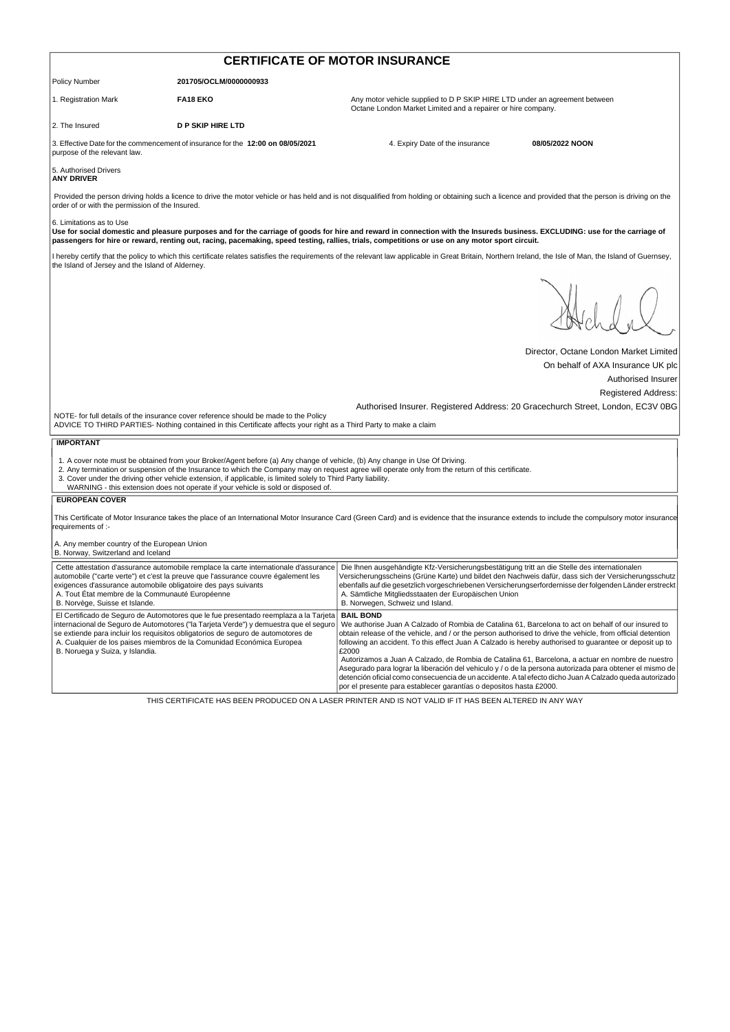| <b>CERTIFICATE OF MOTOR INSURANCE</b>                                                                                                               |                                                                                                                                                                                                                                                                                                                                            |                                                                                                                                                                                                                                                                                                                                                                                                                                                               |                                        |  |
|-----------------------------------------------------------------------------------------------------------------------------------------------------|--------------------------------------------------------------------------------------------------------------------------------------------------------------------------------------------------------------------------------------------------------------------------------------------------------------------------------------------|---------------------------------------------------------------------------------------------------------------------------------------------------------------------------------------------------------------------------------------------------------------------------------------------------------------------------------------------------------------------------------------------------------------------------------------------------------------|----------------------------------------|--|
| <b>Policy Number</b>                                                                                                                                | 201705/OCLM/0000000933                                                                                                                                                                                                                                                                                                                     |                                                                                                                                                                                                                                                                                                                                                                                                                                                               |                                        |  |
| 1. Registration Mark                                                                                                                                | <b>FA18 EKO</b>                                                                                                                                                                                                                                                                                                                            | Any motor vehicle supplied to D P SKIP HIRE LTD under an agreement between<br>Octane London Market Limited and a repairer or hire company.                                                                                                                                                                                                                                                                                                                    |                                        |  |
| 2. The Insured                                                                                                                                      | <b>D P SKIP HIRE LTD</b>                                                                                                                                                                                                                                                                                                                   |                                                                                                                                                                                                                                                                                                                                                                                                                                                               |                                        |  |
| purpose of the relevant law.                                                                                                                        | 3. Effective Date for the commencement of insurance for the 12:00 on 08/05/2021                                                                                                                                                                                                                                                            | 4. Expiry Date of the insurance                                                                                                                                                                                                                                                                                                                                                                                                                               | 08/05/2022 NOON                        |  |
| 5. Authorised Drivers<br><b>ANY DRIVER</b>                                                                                                          |                                                                                                                                                                                                                                                                                                                                            |                                                                                                                                                                                                                                                                                                                                                                                                                                                               |                                        |  |
| order of or with the permission of the Insured.                                                                                                     |                                                                                                                                                                                                                                                                                                                                            | Provided the person driving holds a licence to drive the motor vehicle or has held and is not disqualified from holding or obtaining such a licence and provided that the person is driving on the                                                                                                                                                                                                                                                            |                                        |  |
| 6. Limitations as to Use                                                                                                                            |                                                                                                                                                                                                                                                                                                                                            | Use for social domestic and pleasure purposes and for the carriage of goods for hire and reward in connection with the Insureds business. EXCLUDING: use for the carriage of<br>passengers for hire or reward, renting out, racing, pacemaking, speed testing, rallies, trials, competitions or use on any motor sport circuit.                                                                                                                               |                                        |  |
| the Island of Jersey and the Island of Alderney.                                                                                                    |                                                                                                                                                                                                                                                                                                                                            | I hereby certify that the policy to which this certificate relates satisfies the requirements of the relevant law applicable in Great Britain, Northern Ireland, the Isle of Man, the Island of Guernsey,                                                                                                                                                                                                                                                     |                                        |  |
|                                                                                                                                                     |                                                                                                                                                                                                                                                                                                                                            |                                                                                                                                                                                                                                                                                                                                                                                                                                                               |                                        |  |
|                                                                                                                                                     |                                                                                                                                                                                                                                                                                                                                            |                                                                                                                                                                                                                                                                                                                                                                                                                                                               | Director, Octane London Market Limited |  |
|                                                                                                                                                     |                                                                                                                                                                                                                                                                                                                                            |                                                                                                                                                                                                                                                                                                                                                                                                                                                               | On behalf of AXA Insurance UK plc      |  |
|                                                                                                                                                     |                                                                                                                                                                                                                                                                                                                                            |                                                                                                                                                                                                                                                                                                                                                                                                                                                               | Authorised Insurer                     |  |
|                                                                                                                                                     |                                                                                                                                                                                                                                                                                                                                            | Authorised Insurer. Registered Address: 20 Gracechurch Street, London, EC3V 0BG                                                                                                                                                                                                                                                                                                                                                                               | <b>Registered Address:</b>             |  |
|                                                                                                                                                     | NOTE- for full details of the insurance cover reference should be made to the Policy<br>ADVICE TO THIRD PARTIES- Nothing contained in this Certificate affects your right as a Third Party to make a claim                                                                                                                                 |                                                                                                                                                                                                                                                                                                                                                                                                                                                               |                                        |  |
| <b>IMPORTANT</b>                                                                                                                                    |                                                                                                                                                                                                                                                                                                                                            |                                                                                                                                                                                                                                                                                                                                                                                                                                                               |                                        |  |
|                                                                                                                                                     | 1. A cover note must be obtained from your Broker/Agent before (a) Any change of vehicle, (b) Any change in Use Of Driving.<br>3. Cover under the driving other vehicle extension, if applicable, is limited solely to Third Party liability.<br>WARNING - this extension does not operate if your vehicle is sold or disposed of.         | 2. Any termination or suspension of the Insurance to which the Company may on request agree will operate only from the return of this certificate.                                                                                                                                                                                                                                                                                                            |                                        |  |
| <b>EUROPEAN COVER</b>                                                                                                                               |                                                                                                                                                                                                                                                                                                                                            |                                                                                                                                                                                                                                                                                                                                                                                                                                                               |                                        |  |
| requirements of :-                                                                                                                                  |                                                                                                                                                                                                                                                                                                                                            | This Certificate of Motor Insurance takes the place of an International Motor Insurance Card (Green Card) and is evidence that the insurance extends to include the compulsory motor insurance                                                                                                                                                                                                                                                                |                                        |  |
| A. Any member country of the European Union<br>B. Norway, Switzerland and Iceland                                                                   |                                                                                                                                                                                                                                                                                                                                            |                                                                                                                                                                                                                                                                                                                                                                                                                                                               |                                        |  |
| exigences d'assurance automobile obligatoire des pays suivants<br>A. Tout État membre de la Communauté Européenne<br>B. Norvège, Suisse et Islande. | Cette attestation d'assurance automobile remplace la carte internationale d'assurance<br>automobile ("carte verte") et c'est la preuve que l'assurance couvre également les                                                                                                                                                                | Die Ihnen ausgehändigte Kfz-Versicherungsbestätigung tritt an die Stelle des internationalen<br>Versicherungsscheins (Grüne Karte) und bildet den Nachweis dafür, dass sich der Versicherungsschutz<br>ebenfalls auf die gesetzlich vorgeschriebenen Versicherungserfordernisse der folgenden Länder erstreckt<br>A. Sämtliche Mitgliedsstaaten der Europäischen Union<br>B. Norwegen, Schweiz und Island.                                                    |                                        |  |
| B. Noruega y Suiza, y Islandia.                                                                                                                     | El Certificado de Seguro de Automotores que le fue presentado reemplaza a la Tarjeta<br>internacional de Seguro de Automotores ("la Tarjeta Verde") y demuestra que el seguro<br>se extiende para incluir los requisitos obligatorios de seguro de automotores de<br>A. Cualquier de los paises miembros de la Comunidad Económica Europea | <b>BAIL BOND</b><br>We authorise Juan A Calzado of Rombia de Catalina 61, Barcelona to act on behalf of our insured to<br>obtain release of the vehicle, and / or the person authorised to drive the vehicle, from official detention<br>following an accident. To this effect Juan A Calzado is hereby authorised to quarantee or deposit up to<br>£2000<br>Autorizamos a Juan A Calzado, de Rombia de Catalina 61, Barcelona, a actuar en nombre de nuestro |                                        |  |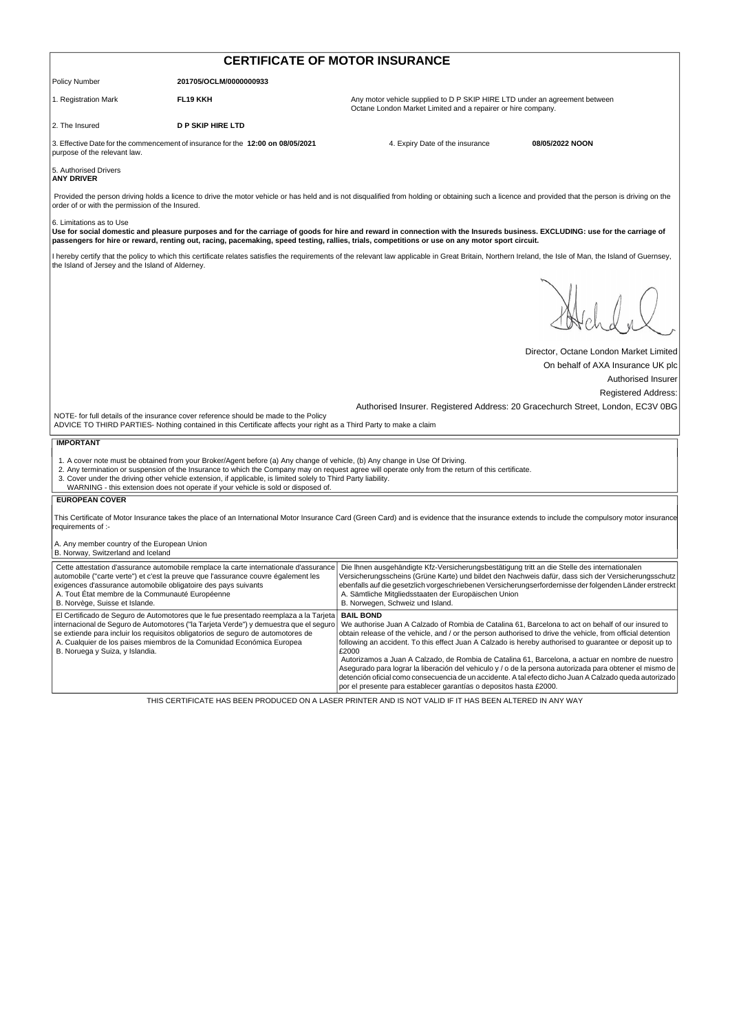| <b>CERTIFICATE OF MOTOR INSURANCE</b>                                                                                                               |                                                                                                                                                                                                                                                                                                                                            |                                                                                                                                                                                                                                                                                                                                                                                                                                                               |                                        |  |
|-----------------------------------------------------------------------------------------------------------------------------------------------------|--------------------------------------------------------------------------------------------------------------------------------------------------------------------------------------------------------------------------------------------------------------------------------------------------------------------------------------------|---------------------------------------------------------------------------------------------------------------------------------------------------------------------------------------------------------------------------------------------------------------------------------------------------------------------------------------------------------------------------------------------------------------------------------------------------------------|----------------------------------------|--|
| <b>Policy Number</b>                                                                                                                                | 201705/OCLM/0000000933                                                                                                                                                                                                                                                                                                                     |                                                                                                                                                                                                                                                                                                                                                                                                                                                               |                                        |  |
| 1. Registration Mark                                                                                                                                | <b>FL19 KKH</b>                                                                                                                                                                                                                                                                                                                            | Any motor vehicle supplied to D P SKIP HIRE LTD under an agreement between<br>Octane London Market Limited and a repairer or hire company.                                                                                                                                                                                                                                                                                                                    |                                        |  |
| 2. The Insured                                                                                                                                      | <b>D P SKIP HIRE LTD</b>                                                                                                                                                                                                                                                                                                                   |                                                                                                                                                                                                                                                                                                                                                                                                                                                               |                                        |  |
| purpose of the relevant law.                                                                                                                        | 3. Effective Date for the commencement of insurance for the 12:00 on 08/05/2021                                                                                                                                                                                                                                                            | 4. Expiry Date of the insurance                                                                                                                                                                                                                                                                                                                                                                                                                               | 08/05/2022 NOON                        |  |
| 5. Authorised Drivers<br><b>ANY DRIVER</b>                                                                                                          |                                                                                                                                                                                                                                                                                                                                            |                                                                                                                                                                                                                                                                                                                                                                                                                                                               |                                        |  |
| order of or with the permission of the Insured.                                                                                                     |                                                                                                                                                                                                                                                                                                                                            | Provided the person driving holds a licence to drive the motor vehicle or has held and is not disqualified from holding or obtaining such a licence and provided that the person is driving on the                                                                                                                                                                                                                                                            |                                        |  |
| 6. Limitations as to Use                                                                                                                            |                                                                                                                                                                                                                                                                                                                                            | Use for social domestic and pleasure purposes and for the carriage of goods for hire and reward in connection with the Insureds business. EXCLUDING: use for the carriage of<br>passengers for hire or reward, renting out, racing, pacemaking, speed testing, rallies, trials, competitions or use on any motor sport circuit.                                                                                                                               |                                        |  |
| the Island of Jersey and the Island of Alderney.                                                                                                    |                                                                                                                                                                                                                                                                                                                                            | I hereby certify that the policy to which this certificate relates satisfies the requirements of the relevant law applicable in Great Britain, Northern Ireland, the Isle of Man, the Island of Guernsey,                                                                                                                                                                                                                                                     |                                        |  |
|                                                                                                                                                     |                                                                                                                                                                                                                                                                                                                                            |                                                                                                                                                                                                                                                                                                                                                                                                                                                               |                                        |  |
|                                                                                                                                                     |                                                                                                                                                                                                                                                                                                                                            |                                                                                                                                                                                                                                                                                                                                                                                                                                                               | Director, Octane London Market Limited |  |
|                                                                                                                                                     |                                                                                                                                                                                                                                                                                                                                            |                                                                                                                                                                                                                                                                                                                                                                                                                                                               | On behalf of AXA Insurance UK plc      |  |
|                                                                                                                                                     |                                                                                                                                                                                                                                                                                                                                            |                                                                                                                                                                                                                                                                                                                                                                                                                                                               | Authorised Insurer                     |  |
|                                                                                                                                                     |                                                                                                                                                                                                                                                                                                                                            |                                                                                                                                                                                                                                                                                                                                                                                                                                                               | <b>Registered Address:</b>             |  |
|                                                                                                                                                     | NOTE- for full details of the insurance cover reference should be made to the Policy<br>ADVICE TO THIRD PARTIES- Nothing contained in this Certificate affects your right as a Third Party to make a claim                                                                                                                                 | Authorised Insurer. Registered Address: 20 Gracechurch Street, London, EC3V 0BG                                                                                                                                                                                                                                                                                                                                                                               |                                        |  |
| <b>IMPORTANT</b>                                                                                                                                    |                                                                                                                                                                                                                                                                                                                                            |                                                                                                                                                                                                                                                                                                                                                                                                                                                               |                                        |  |
|                                                                                                                                                     | 1. A cover note must be obtained from your Broker/Agent before (a) Any change of vehicle, (b) Any change in Use Of Driving.<br>3. Cover under the driving other vehicle extension, if applicable, is limited solely to Third Party liability.<br>WARNING - this extension does not operate if your vehicle is sold or disposed of.         | 2. Any termination or suspension of the Insurance to which the Company may on request agree will operate only from the return of this certificate.                                                                                                                                                                                                                                                                                                            |                                        |  |
| <b>EUROPEAN COVER</b>                                                                                                                               |                                                                                                                                                                                                                                                                                                                                            |                                                                                                                                                                                                                                                                                                                                                                                                                                                               |                                        |  |
| requirements of :-                                                                                                                                  |                                                                                                                                                                                                                                                                                                                                            | This Certificate of Motor Insurance takes the place of an International Motor Insurance Card (Green Card) and is evidence that the insurance extends to include the compulsory motor insurance                                                                                                                                                                                                                                                                |                                        |  |
| A. Any member country of the European Union<br>B. Norway, Switzerland and Iceland                                                                   |                                                                                                                                                                                                                                                                                                                                            |                                                                                                                                                                                                                                                                                                                                                                                                                                                               |                                        |  |
| exigences d'assurance automobile obligatoire des pays suivants<br>A. Tout État membre de la Communauté Européenne<br>B. Norvège, Suisse et Islande. | Cette attestation d'assurance automobile remplace la carte internationale d'assurance<br>automobile ("carte verte") et c'est la preuve que l'assurance couvre également les                                                                                                                                                                | Die Ihnen ausgehändigte Kfz-Versicherungsbestätigung tritt an die Stelle des internationalen<br>Versicherungsscheins (Grüne Karte) und bildet den Nachweis dafür, dass sich der Versicherungsschutz<br>ebenfalls auf die gesetzlich vorgeschriebenen Versicherungserfordernisse der folgenden Länder erstreckt<br>A. Sämtliche Mitgliedsstaaten der Europäischen Union<br>B. Norwegen, Schweiz und Island.                                                    |                                        |  |
| B. Noruega y Suiza, y Islandia.                                                                                                                     | El Certificado de Seguro de Automotores que le fue presentado reemplaza a la Tarjeta<br>internacional de Seguro de Automotores ("la Tarjeta Verde") y demuestra que el seguro<br>se extiende para incluir los requisitos obligatorios de seguro de automotores de<br>A. Cualquier de los paises miembros de la Comunidad Económica Europea | <b>BAIL BOND</b><br>We authorise Juan A Calzado of Rombia de Catalina 61, Barcelona to act on behalf of our insured to<br>obtain release of the vehicle, and / or the person authorised to drive the vehicle, from official detention<br>following an accident. To this effect Juan A Calzado is hereby authorised to guarantee or deposit up to<br>£2000<br>Autorizamos a Juan A Calzado, de Rombia de Catalina 61, Barcelona, a actuar en nombre de nuestro |                                        |  |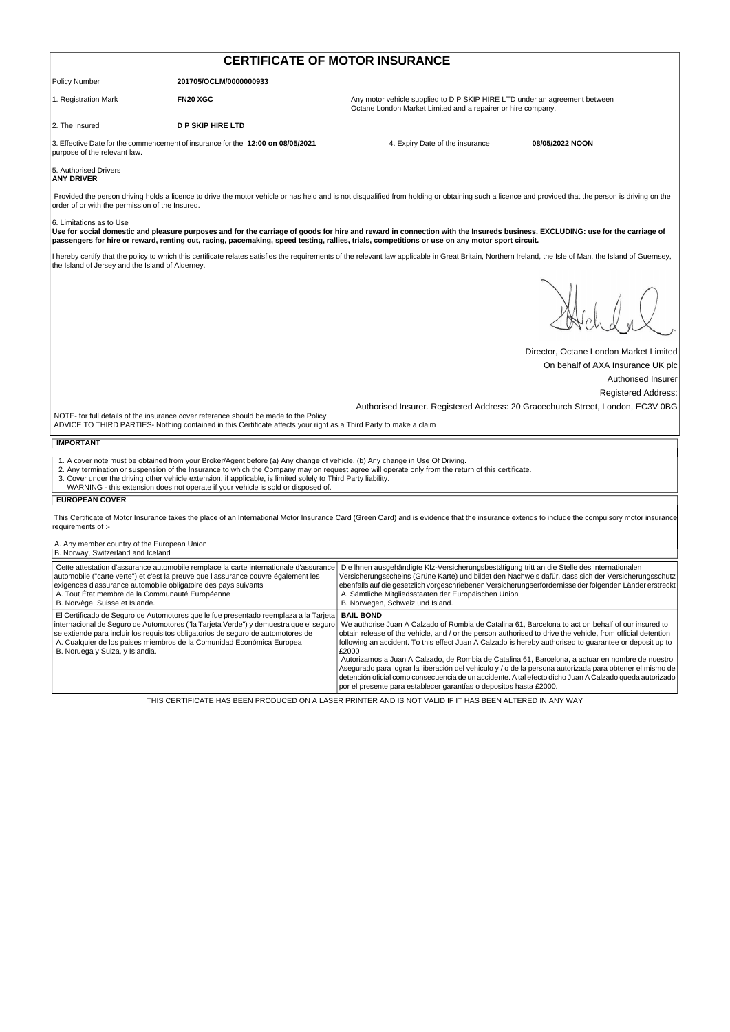| <b>CERTIFICATE OF MOTOR INSURANCE</b>                                                                                                               |                                                                                                                                                                                                                                                                                                                                            |                                                                                                                                                                                                                                                                                                                                                                                                                                                               |                                                  |  |
|-----------------------------------------------------------------------------------------------------------------------------------------------------|--------------------------------------------------------------------------------------------------------------------------------------------------------------------------------------------------------------------------------------------------------------------------------------------------------------------------------------------|---------------------------------------------------------------------------------------------------------------------------------------------------------------------------------------------------------------------------------------------------------------------------------------------------------------------------------------------------------------------------------------------------------------------------------------------------------------|--------------------------------------------------|--|
| <b>Policy Number</b>                                                                                                                                | 201705/OCLM/0000000933                                                                                                                                                                                                                                                                                                                     |                                                                                                                                                                                                                                                                                                                                                                                                                                                               |                                                  |  |
| 1. Registration Mark                                                                                                                                | FN20 XGC                                                                                                                                                                                                                                                                                                                                   | Any motor vehicle supplied to D P SKIP HIRE LTD under an agreement between<br>Octane London Market Limited and a repairer or hire company.                                                                                                                                                                                                                                                                                                                    |                                                  |  |
| 2. The Insured                                                                                                                                      | <b>D P SKIP HIRE LTD</b>                                                                                                                                                                                                                                                                                                                   |                                                                                                                                                                                                                                                                                                                                                                                                                                                               |                                                  |  |
| purpose of the relevant law.                                                                                                                        | 3. Effective Date for the commencement of insurance for the 12:00 on 08/05/2021                                                                                                                                                                                                                                                            | 4. Expiry Date of the insurance                                                                                                                                                                                                                                                                                                                                                                                                                               | 08/05/2022 NOON                                  |  |
| 5. Authorised Drivers<br><b>ANY DRIVER</b>                                                                                                          |                                                                                                                                                                                                                                                                                                                                            |                                                                                                                                                                                                                                                                                                                                                                                                                                                               |                                                  |  |
| order of or with the permission of the Insured.                                                                                                     |                                                                                                                                                                                                                                                                                                                                            | Provided the person driving holds a licence to drive the motor vehicle or has held and is not disqualified from holding or obtaining such a licence and provided that the person is driving on the                                                                                                                                                                                                                                                            |                                                  |  |
| 6. Limitations as to Use                                                                                                                            |                                                                                                                                                                                                                                                                                                                                            | Use for social domestic and pleasure purposes and for the carriage of goods for hire and reward in connection with the Insureds business. EXCLUDING: use for the carriage of<br>passengers for hire or reward, renting out, racing, pacemaking, speed testing, rallies, trials, competitions or use on any motor sport circuit.                                                                                                                               |                                                  |  |
| the Island of Jersey and the Island of Alderney.                                                                                                    |                                                                                                                                                                                                                                                                                                                                            | I hereby certify that the policy to which this certificate relates satisfies the requirements of the relevant law applicable in Great Britain, Northern Ireland, the Isle of Man, the Island of Guernsey,                                                                                                                                                                                                                                                     |                                                  |  |
|                                                                                                                                                     |                                                                                                                                                                                                                                                                                                                                            |                                                                                                                                                                                                                                                                                                                                                                                                                                                               |                                                  |  |
|                                                                                                                                                     |                                                                                                                                                                                                                                                                                                                                            |                                                                                                                                                                                                                                                                                                                                                                                                                                                               | Director, Octane London Market Limited           |  |
|                                                                                                                                                     |                                                                                                                                                                                                                                                                                                                                            |                                                                                                                                                                                                                                                                                                                                                                                                                                                               | On behalf of AXA Insurance UK plc                |  |
|                                                                                                                                                     |                                                                                                                                                                                                                                                                                                                                            |                                                                                                                                                                                                                                                                                                                                                                                                                                                               | Authorised Insurer<br><b>Registered Address:</b> |  |
|                                                                                                                                                     |                                                                                                                                                                                                                                                                                                                                            | Authorised Insurer. Registered Address: 20 Gracechurch Street, London, EC3V 0BG                                                                                                                                                                                                                                                                                                                                                                               |                                                  |  |
|                                                                                                                                                     | NOTE- for full details of the insurance cover reference should be made to the Policy<br>ADVICE TO THIRD PARTIES- Nothing contained in this Certificate affects your right as a Third Party to make a claim                                                                                                                                 |                                                                                                                                                                                                                                                                                                                                                                                                                                                               |                                                  |  |
| <b>IMPORTANT</b>                                                                                                                                    |                                                                                                                                                                                                                                                                                                                                            |                                                                                                                                                                                                                                                                                                                                                                                                                                                               |                                                  |  |
|                                                                                                                                                     | 1. A cover note must be obtained from your Broker/Agent before (a) Any change of vehicle, (b) Any change in Use Of Driving.<br>3. Cover under the driving other vehicle extension, if applicable, is limited solely to Third Party liability.<br>WARNING - this extension does not operate if your vehicle is sold or disposed of.         | 2. Any termination or suspension of the Insurance to which the Company may on request agree will operate only from the return of this certificate.                                                                                                                                                                                                                                                                                                            |                                                  |  |
| <b>EUROPEAN COVER</b>                                                                                                                               |                                                                                                                                                                                                                                                                                                                                            |                                                                                                                                                                                                                                                                                                                                                                                                                                                               |                                                  |  |
| requirements of :-                                                                                                                                  |                                                                                                                                                                                                                                                                                                                                            | This Certificate of Motor Insurance takes the place of an International Motor Insurance Card (Green Card) and is evidence that the insurance extends to include the compulsory motor insurance                                                                                                                                                                                                                                                                |                                                  |  |
| A. Any member country of the European Union<br>B. Norway, Switzerland and Iceland                                                                   |                                                                                                                                                                                                                                                                                                                                            |                                                                                                                                                                                                                                                                                                                                                                                                                                                               |                                                  |  |
| exigences d'assurance automobile obligatoire des pays suivants<br>A. Tout État membre de la Communauté Européenne<br>B. Norvège, Suisse et Islande. | Cette attestation d'assurance automobile remplace la carte internationale d'assurance<br>automobile ("carte verte") et c'est la preuve que l'assurance couvre également les                                                                                                                                                                | Die Ihnen ausgehändigte Kfz-Versicherungsbestätigung tritt an die Stelle des internationalen<br>Versicherungsscheins (Grüne Karte) und bildet den Nachweis dafür, dass sich der Versicherungsschutz<br>ebenfalls auf die gesetzlich vorgeschriebenen Versicherungserfordernisse der folgenden Länder erstreckt<br>A. Sämtliche Mitgliedsstaaten der Europäischen Union<br>B. Norwegen, Schweiz und Island.                                                    |                                                  |  |
| B. Noruega y Suiza, y Islandia.                                                                                                                     | El Certificado de Seguro de Automotores que le fue presentado reemplaza a la Tarjeta<br>internacional de Seguro de Automotores ("la Tarjeta Verde") y demuestra que el seguro<br>se extiende para incluir los requisitos obligatorios de seguro de automotores de<br>A. Cualquier de los paises miembros de la Comunidad Económica Europea | <b>BAIL BOND</b><br>We authorise Juan A Calzado of Rombia de Catalina 61, Barcelona to act on behalf of our insured to<br>obtain release of the vehicle, and / or the person authorised to drive the vehicle, from official detention<br>following an accident. To this effect Juan A Calzado is hereby authorised to quarantee or deposit up to<br>£2000<br>Autorizamos a Juan A Calzado, de Rombia de Catalina 61, Barcelona, a actuar en nombre de nuestro |                                                  |  |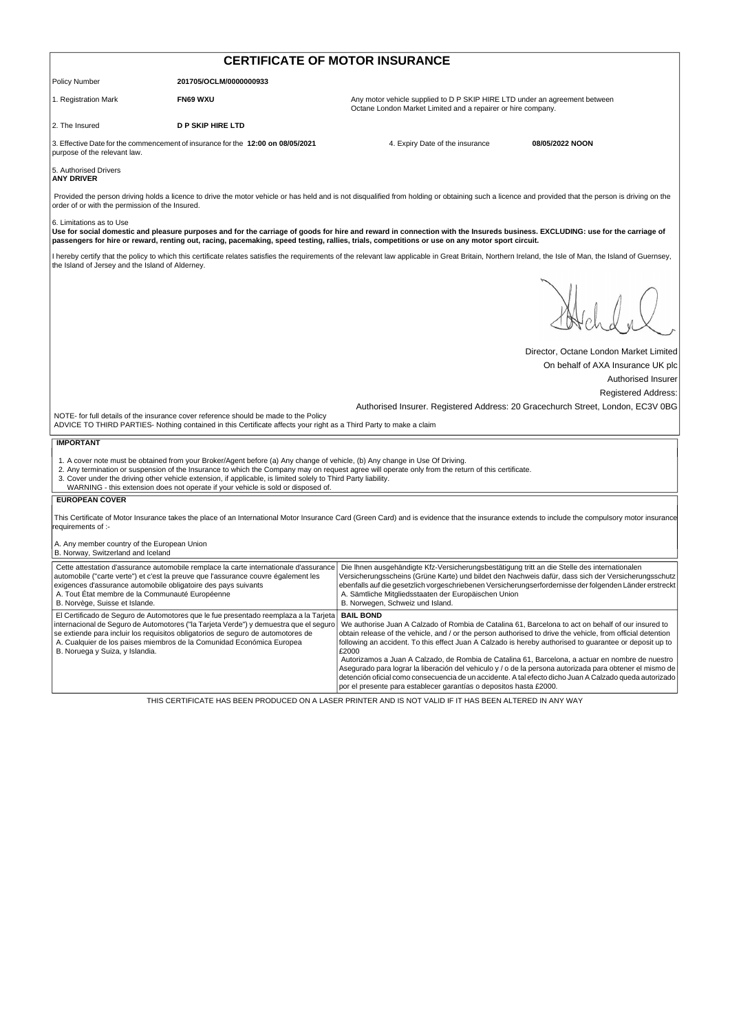| <b>CERTIFICATE OF MOTOR INSURANCE</b>                                                                                                               |                                                                                                                                                                                                                                                                                                                                            |                                                                                                                                                                                                                                                                                                                                                                                                                                                               |                                        |  |
|-----------------------------------------------------------------------------------------------------------------------------------------------------|--------------------------------------------------------------------------------------------------------------------------------------------------------------------------------------------------------------------------------------------------------------------------------------------------------------------------------------------|---------------------------------------------------------------------------------------------------------------------------------------------------------------------------------------------------------------------------------------------------------------------------------------------------------------------------------------------------------------------------------------------------------------------------------------------------------------|----------------------------------------|--|
| Policy Number                                                                                                                                       | 201705/OCLM/0000000933                                                                                                                                                                                                                                                                                                                     |                                                                                                                                                                                                                                                                                                                                                                                                                                                               |                                        |  |
| 1. Registration Mark                                                                                                                                | FN69 WXU                                                                                                                                                                                                                                                                                                                                   | Any motor vehicle supplied to D P SKIP HIRE LTD under an agreement between<br>Octane London Market Limited and a repairer or hire company.                                                                                                                                                                                                                                                                                                                    |                                        |  |
| 2. The Insured                                                                                                                                      | <b>D P SKIP HIRE LTD</b>                                                                                                                                                                                                                                                                                                                   |                                                                                                                                                                                                                                                                                                                                                                                                                                                               |                                        |  |
| purpose of the relevant law.                                                                                                                        | 3. Effective Date for the commencement of insurance for the 12:00 on 08/05/2021                                                                                                                                                                                                                                                            | 4. Expiry Date of the insurance                                                                                                                                                                                                                                                                                                                                                                                                                               | 08/05/2022 NOON                        |  |
| 5. Authorised Drivers<br><b>ANY DRIVER</b>                                                                                                          |                                                                                                                                                                                                                                                                                                                                            |                                                                                                                                                                                                                                                                                                                                                                                                                                                               |                                        |  |
| order of or with the permission of the Insured.                                                                                                     |                                                                                                                                                                                                                                                                                                                                            | Provided the person driving holds a licence to drive the motor vehicle or has held and is not disqualified from holding or obtaining such a licence and provided that the person is driving on the                                                                                                                                                                                                                                                            |                                        |  |
| 6. Limitations as to Use                                                                                                                            |                                                                                                                                                                                                                                                                                                                                            | Use for social domestic and pleasure purposes and for the carriage of goods for hire and reward in connection with the Insureds business. EXCLUDING: use for the carriage of<br>passengers for hire or reward, renting out, racing, pacemaking, speed testing, rallies, trials, competitions or use on any motor sport circuit.                                                                                                                               |                                        |  |
| the Island of Jersey and the Island of Alderney.                                                                                                    |                                                                                                                                                                                                                                                                                                                                            | I hereby certify that the policy to which this certificate relates satisfies the requirements of the relevant law applicable in Great Britain, Northern Ireland, the Isle of Man, the Island of Guernsey,                                                                                                                                                                                                                                                     |                                        |  |
|                                                                                                                                                     |                                                                                                                                                                                                                                                                                                                                            |                                                                                                                                                                                                                                                                                                                                                                                                                                                               |                                        |  |
|                                                                                                                                                     |                                                                                                                                                                                                                                                                                                                                            |                                                                                                                                                                                                                                                                                                                                                                                                                                                               | Director, Octane London Market Limited |  |
|                                                                                                                                                     |                                                                                                                                                                                                                                                                                                                                            |                                                                                                                                                                                                                                                                                                                                                                                                                                                               | On behalf of AXA Insurance UK plc      |  |
|                                                                                                                                                     |                                                                                                                                                                                                                                                                                                                                            |                                                                                                                                                                                                                                                                                                                                                                                                                                                               | Authorised Insurer                     |  |
|                                                                                                                                                     |                                                                                                                                                                                                                                                                                                                                            | Authorised Insurer. Registered Address: 20 Gracechurch Street, London, EC3V 0BG                                                                                                                                                                                                                                                                                                                                                                               | <b>Registered Address:</b>             |  |
|                                                                                                                                                     | NOTE- for full details of the insurance cover reference should be made to the Policy<br>ADVICE TO THIRD PARTIES- Nothing contained in this Certificate affects your right as a Third Party to make a claim                                                                                                                                 |                                                                                                                                                                                                                                                                                                                                                                                                                                                               |                                        |  |
| <b>IMPORTANT</b>                                                                                                                                    |                                                                                                                                                                                                                                                                                                                                            |                                                                                                                                                                                                                                                                                                                                                                                                                                                               |                                        |  |
|                                                                                                                                                     | 1. A cover note must be obtained from your Broker/Agent before (a) Any change of vehicle, (b) Any change in Use Of Driving.<br>3. Cover under the driving other vehicle extension, if applicable, is limited solely to Third Party liability.<br>WARNING - this extension does not operate if your vehicle is sold or disposed of.         | 2. Any termination or suspension of the Insurance to which the Company may on request agree will operate only from the return of this certificate.                                                                                                                                                                                                                                                                                                            |                                        |  |
| <b>EUROPEAN COVER</b>                                                                                                                               |                                                                                                                                                                                                                                                                                                                                            |                                                                                                                                                                                                                                                                                                                                                                                                                                                               |                                        |  |
| equirements of :-                                                                                                                                   |                                                                                                                                                                                                                                                                                                                                            | This Certificate of Motor Insurance takes the place of an International Motor Insurance Card (Green Card) and is evidence that the insurance extends to include the compulsory motor insurance                                                                                                                                                                                                                                                                |                                        |  |
| A. Any member country of the European Union<br>B. Norway, Switzerland and Iceland                                                                   |                                                                                                                                                                                                                                                                                                                                            |                                                                                                                                                                                                                                                                                                                                                                                                                                                               |                                        |  |
| exigences d'assurance automobile obligatoire des pays suivants<br>A. Tout État membre de la Communauté Européenne<br>B. Norvège, Suisse et Islande. | Cette attestation d'assurance automobile remplace la carte internationale d'assurance<br>automobile ("carte verte") et c'est la preuve que l'assurance couvre également les                                                                                                                                                                | Die Ihnen ausgehändigte Kfz-Versicherungsbestätigung tritt an die Stelle des internationalen<br>Versicherungsscheins (Grüne Karte) und bildet den Nachweis dafür, dass sich der Versicherungsschutz<br>ebenfalls auf die gesetzlich vorgeschriebenen Versicherungserfordernisse der folgenden Länder erstreckt<br>A. Sämtliche Mitgliedsstaaten der Europäischen Union<br>B. Norwegen, Schweiz und Island.                                                    |                                        |  |
| B. Noruega y Suiza, y Islandia.                                                                                                                     | El Certificado de Seguro de Automotores que le fue presentado reemplaza a la Tarjeta<br>internacional de Seguro de Automotores ("la Tarjeta Verde") y demuestra que el seguro<br>se extiende para incluir los requisitos obligatorios de seguro de automotores de<br>A. Cualquier de los paises miembros de la Comunidad Económica Europea | <b>BAIL BOND</b><br>We authorise Juan A Calzado of Rombia de Catalina 61, Barcelona to act on behalf of our insured to<br>obtain release of the vehicle, and / or the person authorised to drive the vehicle, from official detention<br>following an accident. To this effect Juan A Calzado is hereby authorised to quarantee or deposit up to<br>£2000<br>Autorizamos a Juan A Calzado, de Rombia de Catalina 61, Barcelona, a actuar en nombre de nuestro |                                        |  |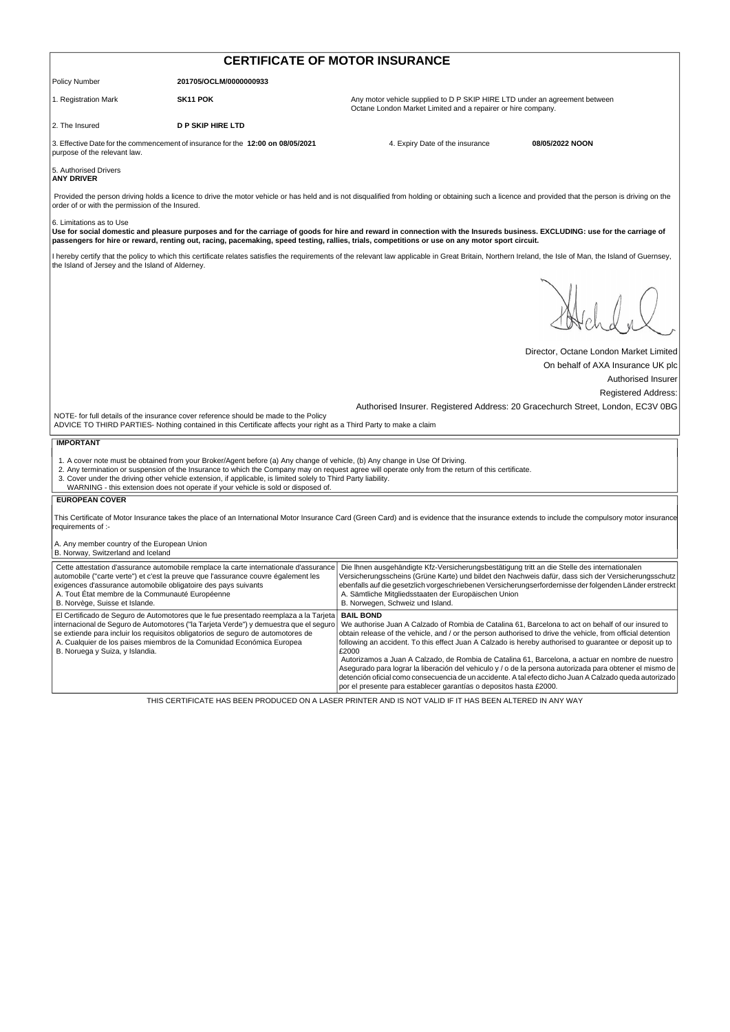| <b>CERTIFICATE OF MOTOR INSURANCE</b>                                                                                                                                                                                                                                                                                                                                                                                                                                                    |                                                                                                                                                                                                                                                                                                                                            |                                                                                                                                                                                                                                                                                                                                                                                                            |                                        |  |  |
|------------------------------------------------------------------------------------------------------------------------------------------------------------------------------------------------------------------------------------------------------------------------------------------------------------------------------------------------------------------------------------------------------------------------------------------------------------------------------------------|--------------------------------------------------------------------------------------------------------------------------------------------------------------------------------------------------------------------------------------------------------------------------------------------------------------------------------------------|------------------------------------------------------------------------------------------------------------------------------------------------------------------------------------------------------------------------------------------------------------------------------------------------------------------------------------------------------------------------------------------------------------|----------------------------------------|--|--|
| <b>Policy Number</b>                                                                                                                                                                                                                                                                                                                                                                                                                                                                     | 201705/OCLM/0000000933                                                                                                                                                                                                                                                                                                                     |                                                                                                                                                                                                                                                                                                                                                                                                            |                                        |  |  |
| 1. Registration Mark                                                                                                                                                                                                                                                                                                                                                                                                                                                                     | SK <sub>11</sub> POK                                                                                                                                                                                                                                                                                                                       | Any motor vehicle supplied to D P SKIP HIRE LTD under an agreement between<br>Octane London Market Limited and a repairer or hire company.                                                                                                                                                                                                                                                                 |                                        |  |  |
| 2. The Insured                                                                                                                                                                                                                                                                                                                                                                                                                                                                           | <b>D P SKIP HIRE LTD</b>                                                                                                                                                                                                                                                                                                                   |                                                                                                                                                                                                                                                                                                                                                                                                            |                                        |  |  |
| 3. Effective Date for the commencement of insurance for the 12:00 on 08/05/2021<br>purpose of the relevant law.                                                                                                                                                                                                                                                                                                                                                                          |                                                                                                                                                                                                                                                                                                                                            | 4. Expiry Date of the insurance                                                                                                                                                                                                                                                                                                                                                                            | 08/05/2022 NOON                        |  |  |
| 5. Authorised Drivers<br><b>ANY DRIVER</b>                                                                                                                                                                                                                                                                                                                                                                                                                                               |                                                                                                                                                                                                                                                                                                                                            |                                                                                                                                                                                                                                                                                                                                                                                                            |                                        |  |  |
| Provided the person driving holds a licence to drive the motor vehicle or has held and is not disqualified from holding or obtaining such a licence and provided that the person is driving on the<br>order of or with the permission of the Insured.                                                                                                                                                                                                                                    |                                                                                                                                                                                                                                                                                                                                            |                                                                                                                                                                                                                                                                                                                                                                                                            |                                        |  |  |
| 6. Limitations as to Use<br>Use for social domestic and pleasure purposes and for the carriage of goods for hire and reward in connection with the Insureds business. EXCLUDING: use for the carriage of<br>passengers for hire or reward, renting out, racing, pacemaking, speed testing, rallies, trials, competitions or use on any motor sport circuit.                                                                                                                              |                                                                                                                                                                                                                                                                                                                                            |                                                                                                                                                                                                                                                                                                                                                                                                            |                                        |  |  |
| I hereby certify that the policy to which this certificate relates satisfies the requirements of the relevant law applicable in Great Britain, Northern Ireland, the Isle of Man, the Island of Guernsey,<br>the Island of Jersey and the Island of Alderney.                                                                                                                                                                                                                            |                                                                                                                                                                                                                                                                                                                                            |                                                                                                                                                                                                                                                                                                                                                                                                            |                                        |  |  |
|                                                                                                                                                                                                                                                                                                                                                                                                                                                                                          |                                                                                                                                                                                                                                                                                                                                            |                                                                                                                                                                                                                                                                                                                                                                                                            |                                        |  |  |
|                                                                                                                                                                                                                                                                                                                                                                                                                                                                                          |                                                                                                                                                                                                                                                                                                                                            |                                                                                                                                                                                                                                                                                                                                                                                                            | Director, Octane London Market Limited |  |  |
|                                                                                                                                                                                                                                                                                                                                                                                                                                                                                          |                                                                                                                                                                                                                                                                                                                                            |                                                                                                                                                                                                                                                                                                                                                                                                            | On behalf of AXA Insurance UK plc      |  |  |
|                                                                                                                                                                                                                                                                                                                                                                                                                                                                                          |                                                                                                                                                                                                                                                                                                                                            |                                                                                                                                                                                                                                                                                                                                                                                                            | Authorised Insurer                     |  |  |
|                                                                                                                                                                                                                                                                                                                                                                                                                                                                                          |                                                                                                                                                                                                                                                                                                                                            |                                                                                                                                                                                                                                                                                                                                                                                                            | <b>Registered Address:</b>             |  |  |
| Authorised Insurer. Registered Address: 20 Gracechurch Street, London, EC3V 0BG<br>NOTE- for full details of the insurance cover reference should be made to the Policy<br>ADVICE TO THIRD PARTIES- Nothing contained in this Certificate affects your right as a Third Party to make a claim                                                                                                                                                                                            |                                                                                                                                                                                                                                                                                                                                            |                                                                                                                                                                                                                                                                                                                                                                                                            |                                        |  |  |
| <b>IMPORTANT</b>                                                                                                                                                                                                                                                                                                                                                                                                                                                                         |                                                                                                                                                                                                                                                                                                                                            |                                                                                                                                                                                                                                                                                                                                                                                                            |                                        |  |  |
| 1. A cover note must be obtained from your Broker/Agent before (a) Any change of vehicle, (b) Any change in Use Of Driving.<br>2. Any termination or suspension of the Insurance to which the Company may on request agree will operate only from the return of this certificate.<br>3. Cover under the driving other vehicle extension, if applicable, is limited solely to Third Party liability.<br>WARNING - this extension does not operate if your vehicle is sold or disposed of. |                                                                                                                                                                                                                                                                                                                                            |                                                                                                                                                                                                                                                                                                                                                                                                            |                                        |  |  |
| <b>EUROPEAN COVER</b>                                                                                                                                                                                                                                                                                                                                                                                                                                                                    |                                                                                                                                                                                                                                                                                                                                            |                                                                                                                                                                                                                                                                                                                                                                                                            |                                        |  |  |
| This Certificate of Motor Insurance takes the place of an International Motor Insurance Card (Green Card) and is evidence that the insurance extends to include the compulsory motor insurance<br>requirements of :-                                                                                                                                                                                                                                                                     |                                                                                                                                                                                                                                                                                                                                            |                                                                                                                                                                                                                                                                                                                                                                                                            |                                        |  |  |
| A. Any member country of the European Union<br>B. Norway, Switzerland and Iceland                                                                                                                                                                                                                                                                                                                                                                                                        |                                                                                                                                                                                                                                                                                                                                            |                                                                                                                                                                                                                                                                                                                                                                                                            |                                        |  |  |
| exigences d'assurance automobile obligatoire des pays suivants<br>A. Tout État membre de la Communauté Européenne<br>B. Norvège, Suisse et Islande.                                                                                                                                                                                                                                                                                                                                      | Cette attestation d'assurance automobile remplace la carte internationale d'assurance<br>automobile ("carte verte") et c'est la preuve que l'assurance couvre également les                                                                                                                                                                | Die Ihnen ausgehändigte Kfz-Versicherungsbestätigung tritt an die Stelle des internationalen<br>Versicherungsscheins (Grüne Karte) und bildet den Nachweis dafür, dass sich der Versicherungsschutz<br>ebenfalls auf die gesetzlich vorgeschriebenen Versicherungserfordernisse der folgenden Länder erstreckt<br>A. Sämtliche Mitgliedsstaaten der Europäischen Union<br>B. Norwegen, Schweiz und Island. |                                        |  |  |
| B. Noruega y Suiza, y Islandia.                                                                                                                                                                                                                                                                                                                                                                                                                                                          | El Certificado de Seguro de Automotores que le fue presentado reemplaza a la Tarjeta<br>internacional de Seguro de Automotores ("la Tarjeta Verde") y demuestra que el seguro<br>se extiende para incluir los requisitos obligatorios de seguro de automotores de<br>A. Cualquier de los paises miembros de la Comunidad Económica Europea | <b>BAIL BOND</b><br>We authorise Juan A Calzado of Rombia de Catalina 61, Barcelona to act on behalf of our insured to<br>obtain release of the vehicle, and / or the person authorised to drive the vehicle, from official detention<br>following an accident. To this effect Juan A Calzado is hereby authorised to guarantee or deposit up to<br>£2000                                                  |                                        |  |  |
|                                                                                                                                                                                                                                                                                                                                                                                                                                                                                          |                                                                                                                                                                                                                                                                                                                                            | Autorizamos a Juan A Calzado, de Rombia de Catalina 61, Barcelona, a actuar en nombre de nuestro<br>Asegurado para lograr la liberación del vehiculo y / o de la persona autorizada para obtener el mismo de<br>detención oficial como consecuencia de un accidente. A tal efecto dicho Juan A Calzado queda autorizado<br>por el presente para establecer garantías o depositos hasta £2000.              |                                        |  |  |